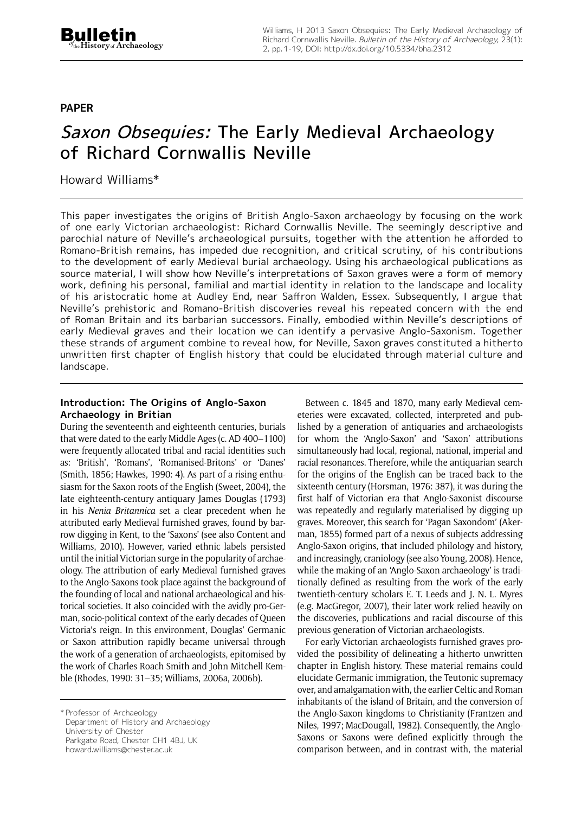# **paper**

# Saxon Obsequies: The Early Medieval Archaeology of Richard Cornwallis Neville

Howard Williams\*

This paper investigates the origins of British Anglo-Saxon archaeology by focusing on the work of one early Victorian archaeologist: Richard Cornwallis Neville. The seemingly descriptive and parochial nature of Neville's archaeological pursuits, together with the attention he afforded to Romano-British remains, has impeded due recognition, and critical scrutiny, of his contributions to the development of early Medieval burial archaeology. Using his archaeological publications as source material, I will show how Neville's interpretations of Saxon graves were a form of memory work, defining his personal, familial and martial identity in relation to the landscape and locality of his aristocratic home at Audley End, near Saffron Walden, Essex. Subsequently, I argue that Neville's prehistoric and Romano-British discoveries reveal his repeated concern with the end of Roman Britain and its barbarian successors. Finally, embodied within Neville's descriptions of early Medieval graves and their location we can identify a pervasive Anglo-Saxonism. Together these strands of argument combine to reveal how, for Neville, Saxon graves constituted a hitherto unwritten first chapter of English history that could be elucidated through material culture and landscape.

## **Introduction: The Origins of Anglo-Saxon Archaeology in Britian**

During the seventeenth and eighteenth centuries, burials that were dated to the early Middle Ages (c. AD 400–1100) were frequently allocated tribal and racial identities such as: 'British', 'Romans', 'Romanised-Britons' or 'Danes' (Smith, 1856; Hawkes, 1990: 4). As part of a rising enthusiasm for the Saxon roots of the English (Sweet, 2004), the late eighteenth-century antiquary James Douglas (1793) in his *Nenia Britannica* set a clear precedent when he attributed early Medieval furnished graves, found by barrow digging in Kent, to the 'Saxons' (see also Content and Williams, 2010). However, varied ethnic labels persisted until the initial Victorian surge in the popularity of archaeology. The attribution of early Medieval furnished graves to the Anglo-Saxons took place against the background of the founding of local and national archaeological and historical societies. It also coincided with the avidly pro-German, socio-political context of the early decades of Queen Victoria's reign. In this environment, Douglas' Germanic or Saxon attribution rapidly became universal through the work of a generation of archaeologists, epitomised by the work of Charles Roach Smith and John Mitchell Kemble (Rhodes, 1990: 31–35; Williams, 2006a, 2006b).

\* Professor of Archaeology Department of History and Archaeology University of Chester Parkgate Road, Chester CH1 4BJ, UK [howard.williams@chester.ac.uk](mailto:howard.williams@chester.ac.uk)

Between c. 1845 and 1870, many early Medieval cemeteries were excavated, collected, interpreted and published by a generation of antiquaries and archaeologists for whom the 'Anglo-Saxon' and 'Saxon' attributions simultaneously had local, regional, national, imperial and racial resonances. Therefore, while the antiquarian search for the origins of the English can be traced back to the sixteenth century (Horsman, 1976: 387), it was during the first half of Victorian era that Anglo-Saxonist discourse was repeatedly and regularly materialised by digging up graves. Moreover, this search for 'Pagan Saxondom' (Akerman, 1855) formed part of a nexus of subjects addressing Anglo-Saxon origins, that included philology and history, and increasingly, craniology (see also Young, 2008). Hence, while the making of an 'Anglo-Saxon archaeology' is traditionally defined as resulting from the work of the early twentieth-century scholars E. T. Leeds and J. N. L. Myres (e.g. MacGregor, 2007), their later work relied heavily on the discoveries, publications and racial discourse of this previous generation of Victorian archaeologists.

For early Victorian archaeologists furnished graves provided the possibility of delineating a hitherto unwritten chapter in English history. These material remains could elucidate Germanic immigration, the Teutonic supremacy over, and amalgamation with, the earlier Celtic and Roman inhabitants of the island of Britain, and the conversion of the Anglo-Saxon kingdoms to Christianity (Frantzen and Niles, 1997; MacDougall, 1982). Consequently, the Anglo-Saxons or Saxons were defined explicitly through the comparison between, and in contrast with, the material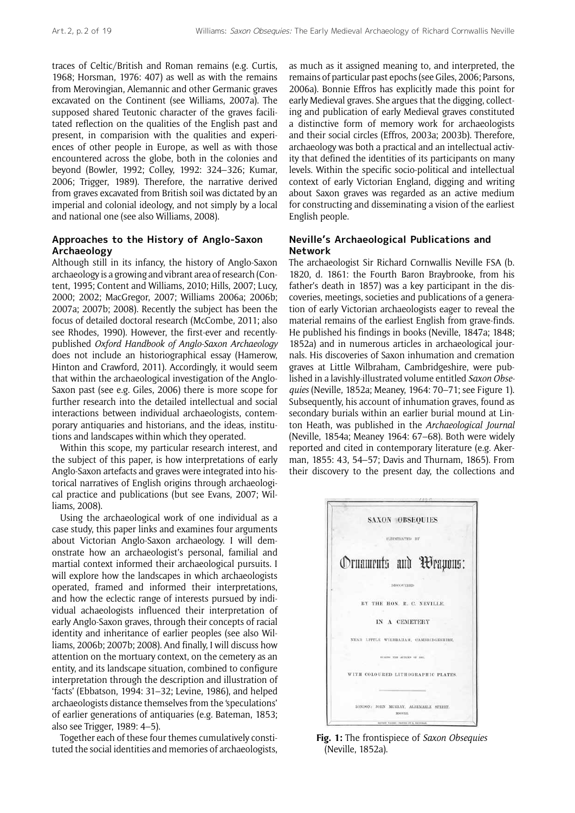traces of Celtic/British and Roman remains (e.g. Curtis, 1968; Horsman, 1976: 407) as well as with the remains from Merovingian, Alemannic and other Germanic graves excavated on the Continent (see Williams, 2007a). The supposed shared Teutonic character of the graves facilitated reflection on the qualities of the English past and present, in comparision with the qualities and experiences of other people in Europe, as well as with those encountered across the globe, both in the colonies and beyond (Bowler, 1992; Colley, 1992: 324–326; Kumar, 2006; Trigger, 1989). Therefore, the narrative derived from graves excavated from British soil was dictated by an imperial and colonial ideology, and not simply by a local and national one (see also Williams, 2008).

## **Approaches to the History of Anglo-Saxon Archaeology**

Although still in its infancy, the history of Anglo-Saxon archaeology is a growing and vibrant area of research (Content, 1995; Content and Williams, 2010; Hills, 2007; Lucy, 2000; 2002; MacGregor, 2007; Williams 2006a; 2006b; 2007a; 2007b; 2008). Recently the subject has been the focus of detailed doctoral research (McCombe, 2011; also see Rhodes, 1990). However, the first-ever and recentlypublished *Oxford Handbook of Anglo-Saxon Archaeology* does not include an historiographical essay (Hamerow, Hinton and Crawford, 2011). Accordingly, it would seem that within the archaeological investigation of the Anglo-Saxon past (see e.g. Giles, 2006) there is more scope for further research into the detailed intellectual and social interactions between individual archaeologists, contemporary antiquaries and historians, and the ideas, institutions and landscapes within which they operated.

Within this scope, my particular research interest, and the subject of this paper, is how interpretations of early Anglo-Saxon artefacts and graves were integrated into historical narratives of English origins through archaeological practice and publications (but see Evans, 2007; Williams, 2008).

Using the archaeological work of one individual as a case study, this paper links and examines four arguments about Victorian Anglo-Saxon archaeology. I will demonstrate how an archaeologist's personal, familial and martial context informed their archaeological pursuits. I will explore how the landscapes in which archaeologists operated, framed and informed their interpretations, and how the eclectic range of interests pursued by individual achaeologists influenced their interpretation of early Anglo-Saxon graves, through their concepts of racial identity and inheritance of earlier peoples (see also Williams, 2006b; 2007b; 2008). And finally, I will discuss how attention on the mortuary context, on the cemetery as an entity, and its landscape situation, combined to configure interpretation through the description and illustration of 'facts' (Ebbatson, 1994: 31–32; Levine, 1986), and helped archaeologists distance themselves from the 'speculations' of earlier generations of antiquaries (e.g. Bateman, 1853; also see Trigger, 1989: 4–5).

Together each of these four themes cumulatively constituted the social identities and memories of archaeologists, as much as it assigned meaning to, and interpreted, the remains of particular past epochs (see Giles, 2006; Parsons, 2006a). Bonnie Effros has explicitly made this point for early Medieval graves. She argues that the digging, collecting and publication of early Medieval graves constituted a distinctive form of memory work for archaeologists and their social circles (Effros, 2003a; 2003b). Therefore, archaeology was both a practical and an intellectual activity that defined the identities of its participants on many levels. Within the specific socio-political and intellectual context of early Victorian England, digging and writing about Saxon graves was regarded as an active medium for constructing and disseminating a vision of the earliest English people.

## **Neville's Archaeological Publications and Network**

The archaeologist Sir Richard Cornwallis Neville FSA (b. 1820, d. 1861: the Fourth Baron Braybrooke, from his father's death in 1857) was a key participant in the discoveries, meetings, societies and publications of a generation of early Victorian archaeologists eager to reveal the material remains of the earliest English from grave-finds. He published his findings in books (Neville, 1847a; 1848; 1852a) and in numerous articles in archaeological journals. His discoveries of Saxon inhumation and cremation graves at Little Wilbraham, Cambridgeshire, were published in a lavishly-illustrated volume entitled *Saxon Obsequies* (Neville, 1852a; Meaney, 1964: 70–71; see Figure 1). Subsequently, his account of inhumation graves, found as secondary burials within an earlier burial mound at Linton Heath, was published in the *Archaeological Journal*  (Neville, 1854a; Meaney 1964: 67–68). Both were widely reported and cited in contemporary literature (e.g. Akerman, 1855: 43, 54–57; Davis and Thurnam, 1865). From their discovery to the present day, the collections and



**Fig. 1:** The frontispiece of *Saxon Obsequies* (Neville, 1852a).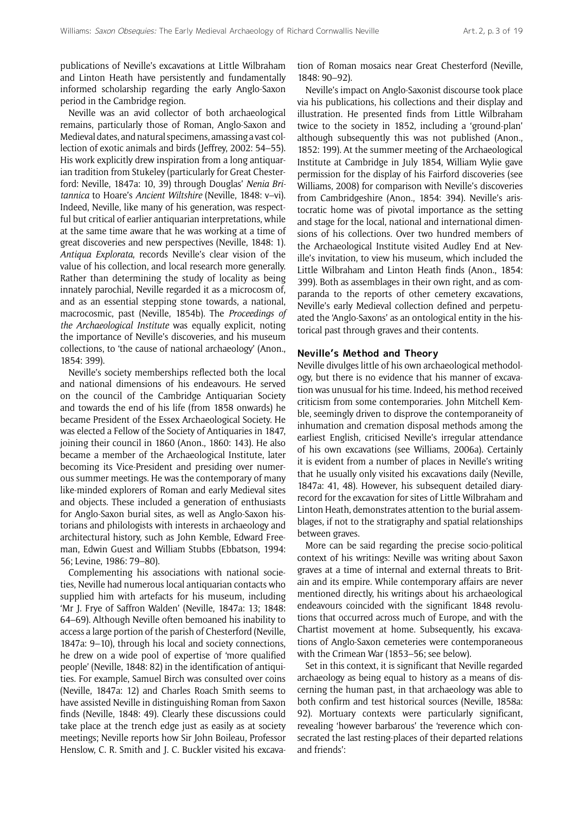publications of Neville's excavations at Little Wilbraham and Linton Heath have persistently and fundamentally informed scholarship regarding the early Anglo-Saxon period in the Cambridge region.

Neville was an avid collector of both archaeological remains, particularly those of Roman, Anglo-Saxon and Medieval dates, and natural specimens, amassing a vast collection of exotic animals and birds (Jeffrey, 2002: 54–55). His work explicitly drew inspiration from a long antiquarian tradition from Stukeley (particularly for Great Chesterford: Neville, 1847a: 10, 39) through Douglas' *Nenia Britannica* to Hoare's *Ancient Wiltshire* (Neville, 1848: v–vi). Indeed, Neville, like many of his generation, was respectful but critical of earlier antiquarian interpretations, while at the same time aware that he was working at a time of great discoveries and new perspectives (Neville, 1848: 1). *Antiqua Explorata*, records Neville's clear vision of the value of his collection, and local research more generally. Rather than determining the study of locality as being innately parochial, Neville regarded it as a microcosm of, and as an essential stepping stone towards, a national, macrocosmic, past (Neville, 1854b). The *Proceedings of the Archaeological Institute* was equally explicit, noting the importance of Neville's discoveries, and his museum collections, to 'the cause of national archaeology' (Anon., 1854: 399).

Neville's society memberships reflected both the local and national dimensions of his endeavours. He served on the council of the Cambridge Antiquarian Society and towards the end of his life (from 1858 onwards) he became President of the Essex Archaeological Society. He was elected a Fellow of the Society of Antiquaries in 1847, joining their council in 1860 (Anon., 1860: 143). He also became a member of the Archaeological Institute, later becoming its Vice-President and presiding over numerous summer meetings. He was the contemporary of many like-minded explorers of Roman and early Medieval sites and objects. These included a generation of enthusiasts for Anglo-Saxon burial sites, as well as Anglo-Saxon historians and philologists with interests in archaeology and architectural history, such as John Kemble, Edward Freeman, Edwin Guest and William Stubbs (Ebbatson, 1994: 56; Levine, 1986: 79–80).

Complementing his associations with national societies, Neville had numerous local antiquarian contacts who supplied him with artefacts for his museum, including 'Mr J. Frye of Saffron Walden' (Neville, 1847a: 13; 1848: 64–69). Although Neville often bemoaned his inability to access a large portion of the parish of Chesterford (Neville, 1847a: 9–10), through his local and society connections, he drew on a wide pool of expertise of 'more qualified people' (Neville, 1848: 82) in the identification of antiquities. For example, Samuel Birch was consulted over coins (Neville, 1847a: 12) and Charles Roach Smith seems to have assisted Neville in distinguishing Roman from Saxon finds (Neville, 1848: 49). Clearly these discussions could take place at the trench edge just as easily as at society meetings; Neville reports how Sir John Boileau, Professor Henslow, C. R. Smith and J. C. Buckler visited his excavation of Roman mosaics near Great Chesterford (Neville, 1848: 90–92).

Neville's impact on Anglo-Saxonist discourse took place via his publications, his collections and their display and illustration. He presented finds from Little Wilbraham twice to the society in 1852, including a 'ground-plan' although subsequently this was not published (Anon., 1852: 199). At the summer meeting of the Archaeological Institute at Cambridge in July 1854, William Wylie gave permission for the display of his Fairford discoveries (see Williams, 2008) for comparison with Neville's discoveries from Cambridgeshire (Anon., 1854: 394). Neville's aristocratic home was of pivotal importance as the setting and stage for the local, national and international dimensions of his collections. Over two hundred members of the Archaeological Institute visited Audley End at Neville's invitation, to view his museum, which included the Little Wilbraham and Linton Heath finds (Anon., 1854: 399). Both as assemblages in their own right, and as comparanda to the reports of other cemetery excavations, Neville's early Medieval collection defined and perpetuated the 'Anglo-Saxons' as an ontological entity in the historical past through graves and their contents.

#### **Neville's Method and Theory**

Neville divulges little of his own archaeological methodology, but there is no evidence that his manner of excavation was unusual for his time. Indeed, his method received criticism from some contemporaries. John Mitchell Kemble, seemingly driven to disprove the contemporaneity of inhumation and cremation disposal methods among the earliest English, criticised Neville's irregular attendance of his own excavations (see Williams, 2006a). Certainly it is evident from a number of places in Neville's writing that he usually only visited his excavations daily (Neville, 1847a: 41, 48). However, his subsequent detailed diaryrecord for the excavation for sites of Little Wilbraham and Linton Heath, demonstrates attention to the burial assemblages, if not to the stratigraphy and spatial relationships between graves.

More can be said regarding the precise socio-political context of his writings: Neville was writing about Saxon graves at a time of internal and external threats to Britain and its empire. While contemporary affairs are never mentioned directly, his writings about his archaeological endeavours coincided with the significant 1848 revolutions that occurred across much of Europe, and with the Chartist movement at home. Subsequently, his excavations of Anglo-Saxon cemeteries were contemporaneous with the Crimean War (1853–56; see below).

Set in this context, it is significant that Neville regarded archaeology as being equal to history as a means of discerning the human past, in that archaeology was able to both confirm and test historical sources (Neville, 1858a: 92). Mortuary contexts were particularly significant, revealing 'however barbarous' the 'reverence which consecrated the last resting-places of their departed relations and friends':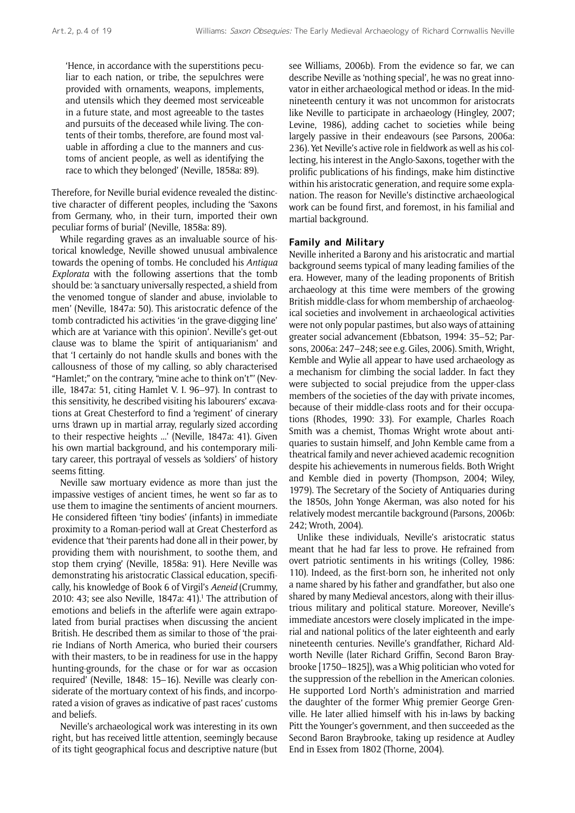'Hence, in accordance with the superstitions peculiar to each nation, or tribe, the sepulchres were provided with ornaments, weapons, implements, and utensils which they deemed most serviceable in a future state, and most agreeable to the tastes and pursuits of the deceased while living. The contents of their tombs, therefore, are found most valuable in affording a clue to the manners and customs of ancient people, as well as identifying the race to which they belonged' (Neville, 1858a: 89).

Therefore, for Neville burial evidence revealed the distinctive character of different peoples, including the 'Saxons from Germany, who, in their turn, imported their own peculiar forms of burial' (Neville, 1858a: 89).

While regarding graves as an invaluable source of historical knowledge, Neville showed unusual ambivalence towards the opening of tombs. He concluded his *Antiqua Explorata* with the following assertions that the tomb should be: 'a sanctuary universally respected, a shield from the venomed tongue of slander and abuse, inviolable to men' (Neville, 1847a: 50). This aristocratic defence of the tomb contradicted his activities 'in the grave-digging line' which are at 'variance with this opinion'. Neville's get-out clause was to blame the 'spirit of antiquarianism' and that 'I certainly do not handle skulls and bones with the callousness of those of my calling, so ably characterised "Hamlet;" on the contrary, "mine ache to think on't"' (Neville, 1847a: 51, citing Hamlet V. I. 96–97). In contrast to this sensitivity, he described visiting his labourers' excavations at Great Chesterford to find a 'regiment' of cinerary urns 'drawn up in martial array, regularly sized according to their respective heights ...' (Neville, 1847a: 41). Given his own martial background, and his contemporary military career, this portrayal of vessels as 'soldiers' of history seems fitting.

Neville saw mortuary evidence as more than just the impassive vestiges of ancient times, he went so far as to use them to imagine the sentiments of ancient mourners. He considered fifteen 'tiny bodies' (infants) in immediate proximity to a Roman-period wall at Great Chesterford as evidence that 'their parents had done all in their power, by providing them with nourishment, to soothe them, and stop them crying' (Neville, 1858a: 91). Here Neville was demonstrating his aristocratic Classical education, specifically, his knowledge of Book 6 of Virgil's *Aeneid* (Crummy,  $2010: 43$ ; see also Neville, 1847a: 41).<sup>1</sup> The attribution of emotions and beliefs in the afterlife were again extrapolated from burial practises when discussing the ancient British. He described them as similar to those of 'the prairie Indians of North America, who buried their coursers with their masters, to be in readiness for use in the happy hunting-grounds, for the chase or for war as occasion required' (Neville, 1848: 15–16). Neville was clearly considerate of the mortuary context of his finds, and incorporated a vision of graves as indicative of past races' customs and beliefs.

Neville's archaeological work was interesting in its own right, but has received little attention, seemingly because of its tight geographical focus and descriptive nature (but see Williams, 2006b). From the evidence so far, we can describe Neville as 'nothing special', he was no great innovator in either archaeological method or ideas. In the midnineteenth century it was not uncommon for aristocrats like Neville to participate in archaeology (Hingley, 2007; Levine, 1986), adding cachet to societies while being largely passive in their endeavours (see Parsons, 2006a: 236). Yet Neville's active role in fieldwork as well as his collecting, his interest in the Anglo-Saxons, together with the prolific publications of his findings, make him distinctive within his aristocratic generation, and require some explanation. The reason for Neville's distinctive archaeological work can be found first, and foremost, in his familial and martial background.

#### **Family and Military**

Neville inherited a Barony and his aristocratic and martial background seems typical of many leading families of the era. However, many of the leading proponents of British archaeology at this time were members of the growing British middle-class for whom membership of archaeological societies and involvement in archaeological activities were not only popular pastimes, but also ways of attaining greater social advancement (Ebbatson, 1994: 35–52; Parsons, 2006a: 247–248; see e.g. Giles, 2006). Smith, Wright, Kemble and Wylie all appear to have used archaeology as a mechanism for climbing the social ladder. In fact they were subjected to social prejudice from the upper-class members of the societies of the day with private incomes, because of their middle-class roots and for their occupations (Rhodes, 1990: 33). For example, Charles Roach Smith was a chemist, Thomas Wright wrote about antiquaries to sustain himself, and John Kemble came from a theatrical family and never achieved academic recognition despite his achievements in numerous fields. Both Wright and Kemble died in poverty (Thompson, 2004; Wiley, 1979). The Secretary of the Society of Antiquaries during the 1850s, John Yonge Akerman, was also noted for his relatively modest mercantile background (Parsons, 2006b: 242; Wroth, 2004).

Unlike these individuals, Neville's aristocratic status meant that he had far less to prove. He refrained from overt patriotic sentiments in his writings (Colley, 1986: 110). Indeed, as the first-born son, he inherited not only a name shared by his father and grandfather, but also one shared by many Medieval ancestors, along with their illustrious military and political stature. Moreover, Neville's immediate ancestors were closely implicated in the imperial and national politics of the later eighteenth and early nineteenth centuries. Neville's grandfather, Richard Aldworth Neville (later Richard Griffin, Second Baron Braybrooke [1750–1825]), was a Whig politician who voted for the suppression of the rebellion in the American colonies. He supported Lord North's administration and married the daughter of the former Whig premier George Grenville. He later allied himself with his in-laws by backing Pitt the Younger's government, and then succeeded as the Second Baron Braybrooke, taking up residence at Audley End in Essex from 1802 (Thorne, 2004).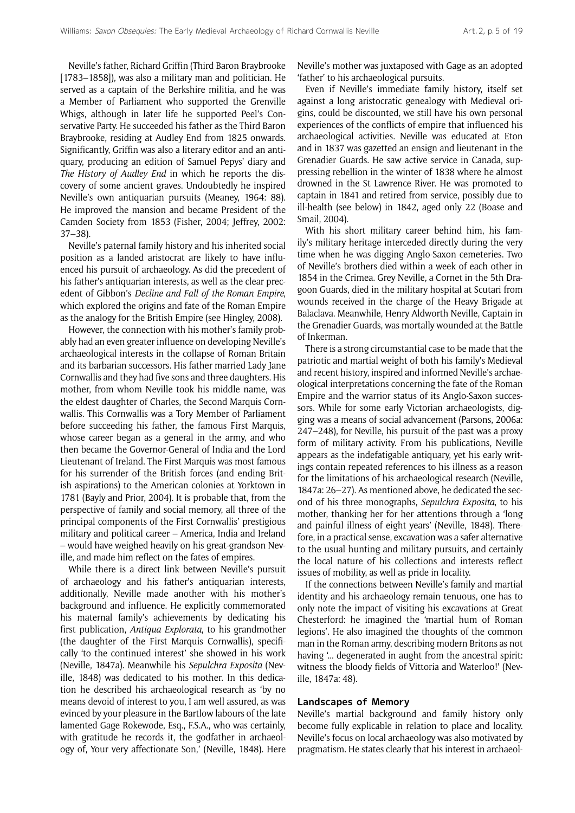Neville's father, Richard Griffin (Third Baron Braybrooke [1783–1858]), was also a military man and politician. He served as a captain of the Berkshire militia, and he was a Member of Parliament who supported the Grenville Whigs, although in later life he supported Peel's Conservative Party. He succeeded his father as the Third Baron Braybrooke, residing at Audley End from 1825 onwards. Significantly, Griffin was also a literary editor and an antiquary, producing an edition of Samuel Pepys' diary and *The History of Audley End* in which he reports the discovery of some ancient graves. Undoubtedly he inspired Neville's own antiquarian pursuits (Meaney, 1964: 88). He improved the mansion and became President of the Camden Society from 1853 (Fisher, 2004; Jeffrey, 2002: 37–38).

Neville's paternal family history and his inherited social position as a landed aristocrat are likely to have influenced his pursuit of archaeology. As did the precedent of his father's antiquarian interests, as well as the clear precedent of Gibbon's *Decline and Fall of the Roman Empire*, which explored the origins and fate of the Roman Empire as the analogy for the British Empire (see Hingley, 2008).

However, the connection with his mother's family probably had an even greater influence on developing Neville's archaeological interests in the collapse of Roman Britain and its barbarian successors. His father married Lady Jane Cornwallis and they had five sons and three daughters. His mother, from whom Neville took his middle name, was the eldest daughter of Charles, the Second Marquis Cornwallis. This Cornwallis was a Tory Member of Parliament before succeeding his father, the famous First Marquis, whose career began as a general in the army, and who then became the Governor-General of India and the Lord Lieutenant of Ireland. The First Marquis was most famous for his surrender of the British forces (and ending British aspirations) to the American colonies at Yorktown in 1781 (Bayly and Prior, 2004). It is probable that, from the perspective of family and social memory, all three of the principal components of the First Cornwallis' prestigious military and political career – America, India and Ireland – would have weighed heavily on his great-grandson Neville, and made him reflect on the fates of empires.

While there is a direct link between Neville's pursuit of archaeology and his father's antiquarian interests, additionally, Neville made another with his mother's background and influence. He explicitly commemorated his maternal family's achievements by dedicating his first publication, *Antiqua Explorata*, to his grandmother (the daughter of the First Marquis Cornwallis), specifically 'to the continued interest' she showed in his work (Neville, 1847a). Meanwhile his *Sepulchra Exposita* (Neville, 1848) was dedicated to his mother. In this dedication he described his archaeological research as 'by no means devoid of interest to you, I am well assured, as was evinced by your pleasure in the Bartlow labours of the late lamented Gage Rokewode, Esq., F.S.A., who was certainly, with gratitude he records it, the godfather in archaeology of, Your very affectionate Son,' (Neville, 1848). Here Neville's mother was juxtaposed with Gage as an adopted 'father' to his archaeological pursuits.

Even if Neville's immediate family history, itself set against a long aristocratic genealogy with Medieval origins, could be discounted, we still have his own personal experiences of the conflicts of empire that influenced his archaeological activities. Neville was educated at Eton and in 1837 was gazetted an ensign and lieutenant in the Grenadier Guards. He saw active service in Canada, suppressing rebellion in the winter of 1838 where he almost drowned in the St Lawrence River. He was promoted to captain in 1841 and retired from service, possibly due to ill-health (see below) in 1842, aged only 22 (Boase and Smail, 2004).

With his short military career behind him, his family's military heritage interceded directly during the very time when he was digging Anglo-Saxon cemeteries. Two of Neville's brothers died within a week of each other in 1854 in the Crimea. Grey Neville, a Cornet in the 5th Dragoon Guards, died in the military hospital at Scutari from wounds received in the charge of the Heavy Brigade at Balaclava. Meanwhile, Henry Aldworth Neville, Captain in the Grenadier Guards, was mortally wounded at the Battle of Inkerman.

There is a strong circumstantial case to be made that the patriotic and martial weight of both his family's Medieval and recent history, inspired and informed Neville's archaeological interpretations concerning the fate of the Roman Empire and the warrior status of its Anglo-Saxon successors. While for some early Victorian archaeologists, digging was a means of social advancement (Parsons, 2006a: 247–248), for Neville, his pursuit of the past was a proxy form of military activity. From his publications, Neville appears as the indefatigable antiquary, yet his early writings contain repeated references to his illness as a reason for the limitations of his archaeological research (Neville, 1847a: 26–27). As mentioned above, he dedicated the second of his three monographs, *Sepulchra Exposita*, to his mother, thanking her for her attentions through a 'long and painful illness of eight years' (Neville, 1848). Therefore, in a practical sense, excavation was a safer alternative to the usual hunting and military pursuits, and certainly the local nature of his collections and interests reflect issues of mobility, as well as pride in locality.

If the connections between Neville's family and martial identity and his archaeology remain tenuous, one has to only note the impact of visiting his excavations at Great Chesterford: he imagined the 'martial hum of Roman legions'. He also imagined the thoughts of the common man in the Roman army, describing modern Britons as not having '... degenerated in aught from the ancestral spirit: witness the bloody fields of Vittoria and Waterloo!' (Neville, 1847a: 48).

#### **Landscapes of Memory**

Neville's martial background and family history only become fully explicable in relation to place and locality. Neville's focus on local archaeology was also motivated by pragmatism. He states clearly that his interest in archaeol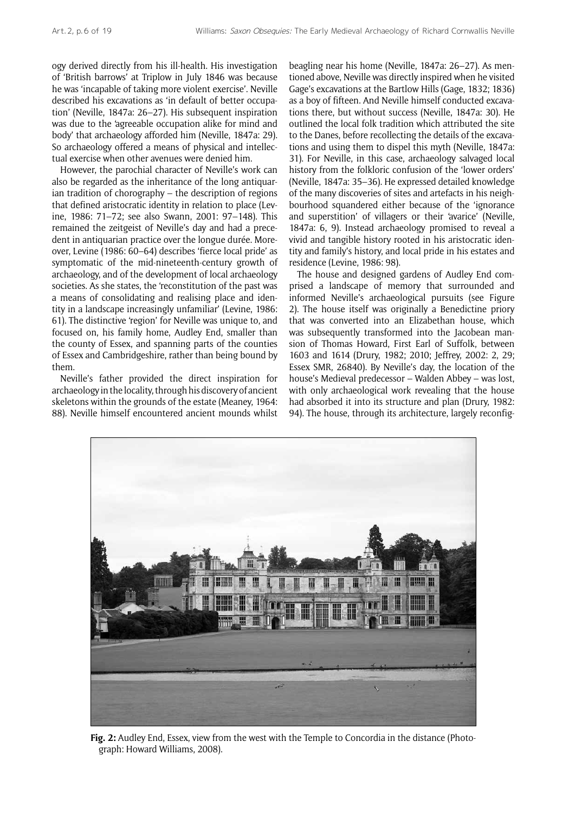ogy derived directly from his ill-health. His investigation of 'British barrows' at Triplow in July 1846 was because he was 'incapable of taking more violent exercise'. Neville described his excavations as 'in default of better occupation' (Neville, 1847a: 26–27). His subsequent inspiration was due to the 'agreeable occupation alike for mind and body' that archaeology afforded him (Neville, 1847a: 29). So archaeology offered a means of physical and intellectual exercise when other avenues were denied him.

However, the parochial character of Neville's work can also be regarded as the inheritance of the long antiquarian tradition of chorography – the description of regions that defined aristocratic identity in relation to place (Levine, 1986: 71–72; see also Swann, 2001: 97–148). This remained the zeitgeist of Neville's day and had a precedent in antiquarian practice over the longue durée. Moreover, Levine (1986: 60–64) describes 'fierce local pride' as symptomatic of the mid-nineteenth-century growth of archaeology, and of the development of local archaeology societies. As she states, the 'reconstitution of the past was a means of consolidating and realising place and identity in a landscape increasingly unfamiliar' (Levine, 1986: 61). The distinctive 'region' for Neville was unique to, and focused on, his family home, Audley End, smaller than the county of Essex, and spanning parts of the counties of Essex and Cambridgeshire, rather than being bound by them.

Neville's father provided the direct inspiration for archaeology in the locality, through his discovery of ancient skeletons within the grounds of the estate (Meaney, 1964: 88). Neville himself encountered ancient mounds whilst beagling near his home (Neville, 1847a: 26–27). As mentioned above, Neville was directly inspired when he visited Gage's excavations at the Bartlow Hills (Gage, 1832; 1836) as a boy of fifteen. And Neville himself conducted excavations there, but without success (Neville, 1847a: 30). He outlined the local folk tradition which attributed the site to the Danes, before recollecting the details of the excavations and using them to dispel this myth (Neville, 1847a: 31). For Neville, in this case, archaeology salvaged local history from the folkloric confusion of the 'lower orders' (Neville, 1847a: 35–36). He expressed detailed knowledge of the many discoveries of sites and artefacts in his neighbourhood squandered either because of the 'ignorance and superstition' of villagers or their 'avarice' (Neville, 1847a: 6, 9). Instead archaeology promised to reveal a vivid and tangible history rooted in his aristocratic identity and family's history, and local pride in his estates and residence (Levine, 1986: 98).

The house and designed gardens of Audley End comprised a landscape of memory that surrounded and informed Neville's archaeological pursuits (see Figure 2). The house itself was originally a Benedictine priory that was converted into an Elizabethan house, which was subsequently transformed into the Jacobean mansion of Thomas Howard, First Earl of Suffolk, between 1603 and 1614 (Drury, 1982; 2010; Jeffrey, 2002: 2, 29; Essex SMR, 26840). By Neville's day, the location of the house's Medieval predecessor – Walden Abbey – was lost, with only archaeological work revealing that the house had absorbed it into its structure and plan (Drury, 1982: 94). The house, through its architecture, largely reconfig-



**Fig. 2:** Audley End, Essex, view from the west with the Temple to Concordia in the distance (Photograph: Howard Williams, 2008).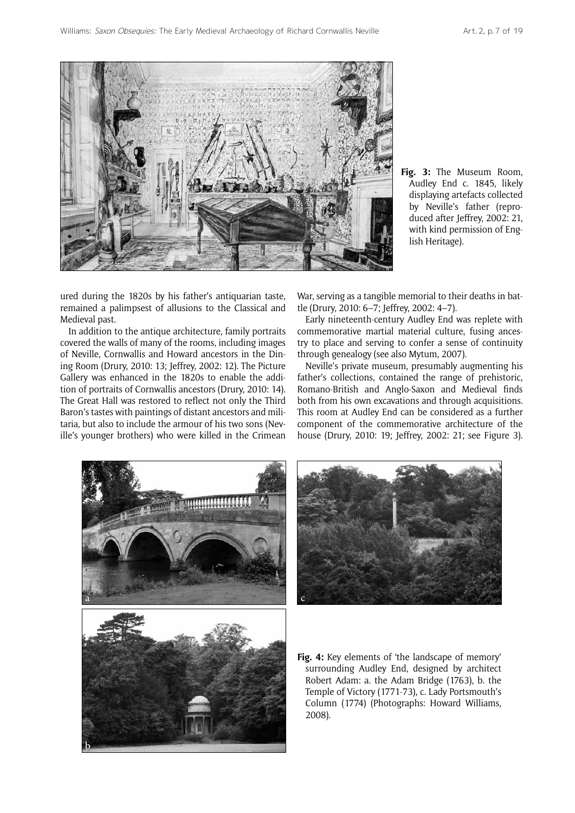

**Fig. 3:** The Museum Room, Audley End c. 1845, likely displaying artefacts collected by Neville's father (reproduced after Jeffrey, 2002: 21, with kind permission of English Heritage).

ured during the 1820s by his father's antiquarian taste, remained a palimpsest of allusions to the Classical and Medieval past.

In addition to the antique architecture, family portraits covered the walls of many of the rooms, including images of Neville, Cornwallis and Howard ancestors in the Dining Room (Drury, 2010: 13; Jeffrey, 2002: 12). The Picture Gallery was enhanced in the 1820s to enable the addition of portraits of Cornwallis ancestors (Drury, 2010: 14). The Great Hall was restored to reflect not only the Third Baron's tastes with paintings of distant ancestors and militaria, but also to include the armour of his two sons (Neville's younger brothers) who were killed in the Crimean War, serving as a tangible memorial to their deaths in battle (Drury, 2010: 6–7; Jeffrey, 2002: 4–7).

Early nineteenth-century Audley End was replete with commemorative martial material culture, fusing ancestry to place and serving to confer a sense of continuity through genealogy (see also Mytum, 2007).

Neville's private museum, presumably augmenting his father's collections, contained the range of prehistoric, Romano-British and Anglo-Saxon and Medieval finds both from his own excavations and through acquisitions. This room at Audley End can be considered as a further component of the commemorative architecture of the house (Drury, 2010: 19; Jeffrey, 2002: 21; see Figure 3).





**Fig. 4:** Key elements of 'the landscape of memory' surrounding Audley End, designed by architect Robert Adam: a. the Adam Bridge (1763), b. the Temple of Victory (1771-73), c. Lady Portsmouth's Column (1774) (Photographs: Howard Williams, 2008).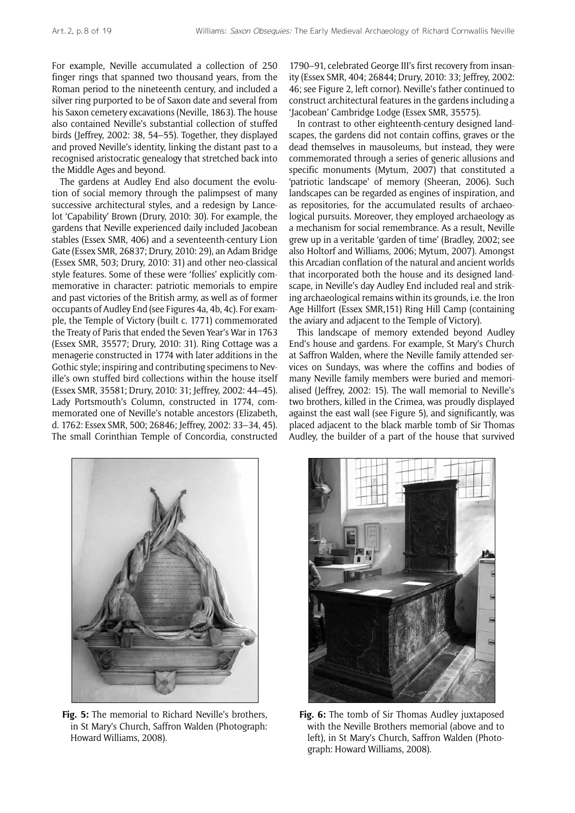For example, Neville accumulated a collection of 250 finger rings that spanned two thousand years, from the Roman period to the nineteenth century, and included a silver ring purported to be of Saxon date and several from his Saxon cemetery excavations (Neville, 1863). The house also contained Neville's substantial collection of stuffed birds (Jeffrey, 2002: 38, 54–55). Together, they displayed and proved Neville's identity, linking the distant past to a recognised aristocratic genealogy that stretched back into the Middle Ages and beyond.

The gardens at Audley End also document the evolution of social memory through the palimpsest of many successive architectural styles, and a redesign by Lancelot 'Capability' Brown (Drury, 2010: 30). For example, the gardens that Neville experienced daily included Jacobean stables (Essex SMR, 406) and a seventeenth-century Lion Gate (Essex SMR, 26837; Drury, 2010: 29), an Adam Bridge (Essex SMR, 503; Drury, 2010: 31) and other neo-classical style features. Some of these were 'follies' explicitly commemorative in character: patriotic memorials to empire and past victories of the British army, as well as of former occupants of Audley End (see Figures 4a, 4b, 4c). For example, the Temple of Victory (built c. 1771) commemorated the Treaty of Paris that ended the Seven Year's War in 1763 (Essex SMR, 35577; Drury, 2010: 31). Ring Cottage was a menagerie constructed in 1774 with later additions in the Gothic style; inspiring and contributing specimens to Neville's own stuffed bird collections within the house itself (Essex SMR, 35581; Drury, 2010: 31; Jeffrey, 2002: 44–45). Lady Portsmouth's Column, constructed in 1774, commemorated one of Neville's notable ancestors (Elizabeth, d. 1762: Essex SMR, 500; 26846; Jeffrey, 2002: 33–34, 45). The small Corinthian Temple of Concordia, constructed 1790–91, celebrated George III's first recovery from insanity (Essex SMR, 404; 26844; Drury, 2010: 33; Jeffrey, 2002: 46; see Figure 2, left cornor). Neville's father continued to construct architectural features in the gardens including a 'Jacobean' Cambridge Lodge (Essex SMR, 35575).

In contrast to other eighteenth-century designed landscapes, the gardens did not contain coffins, graves or the dead themselves in mausoleums, but instead, they were commemorated through a series of generic allusions and specific monuments (Mytum, 2007) that constituted a 'patriotic landscape' of memory (Sheeran, 2006). Such landscapes can be regarded as engines of inspiration, and as repositories, for the accumulated results of archaeological pursuits. Moreover, they employed archaeology as a mechanism for social remembrance. As a result, Neville grew up in a veritable 'garden of time' (Bradley, 2002; see also Holtorf and Williams, 2006; Mytum, 2007). Amongst this Arcadian conflation of the natural and ancient worlds that incorporated both the house and its designed landscape, in Neville's day Audley End included real and striking archaeological remains within its grounds, i.e. the Iron Age Hillfort (Essex SMR,151) Ring Hill Camp (containing the aviary and adjacent to the Temple of Victory).

This landscape of memory extended beyond Audley End's house and gardens. For example, St Mary's Church at Saffron Walden, where the Neville family attended services on Sundays, was where the coffins and bodies of many Neville family members were buried and memorialised (Jeffrey, 2002: 15). The wall memorial to Neville's two brothers, killed in the Crimea, was proudly displayed against the east wall (see Figure 5), and significantly, was placed adjacent to the black marble tomb of Sir Thomas Audley, the builder of a part of the house that survived



**Fig. 5:** The memorial to Richard Neville's brothers, in St Mary's Church, Saffron Walden (Photograph: Howard Williams, 2008).



**Fig. 6:** The tomb of Sir Thomas Audley juxtaposed with the Neville Brothers memorial (above and to left), in St Mary's Church, Saffron Walden (Photograph: Howard Williams, 2008).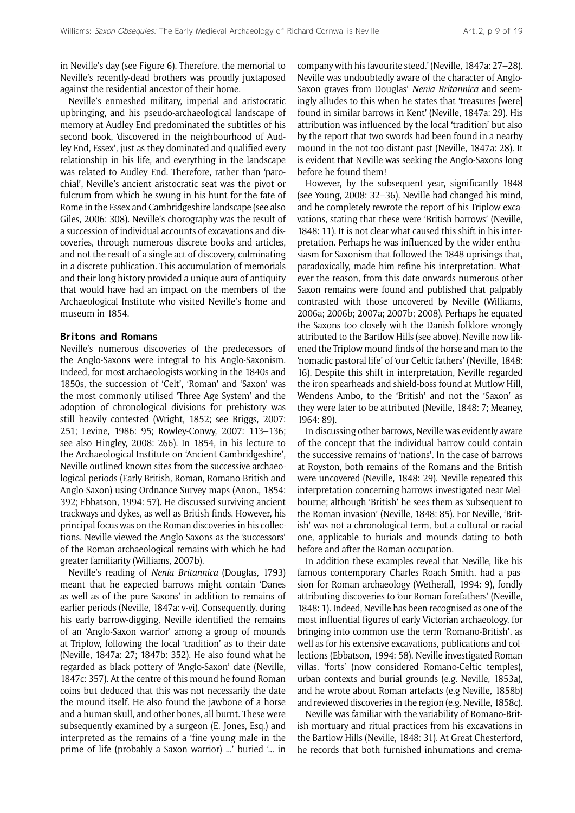in Neville's day (see Figure 6). Therefore, the memorial to Neville's recently-dead brothers was proudly juxtaposed against the residential ancestor of their home.

Neville's enmeshed military, imperial and aristocratic upbringing, and his pseudo-archaeological landscape of memory at Audley End predominated the subtitles of his second book, 'discovered in the neighbourhood of Audley End, Essex', just as they dominated and qualified every relationship in his life, and everything in the landscape was related to Audley End. Therefore, rather than 'parochial', Neville's ancient aristocratic seat was the pivot or fulcrum from which he swung in his hunt for the fate of Rome in the Essex and Cambridgeshire landscape (see also Giles, 2006: 308). Neville's chorography was the result of a succession of individual accounts of excavations and discoveries, through numerous discrete books and articles, and not the result of a single act of discovery, culminating in a discrete publication. This accumulation of memorials and their long history provided a unique aura of antiquity that would have had an impact on the members of the Archaeological Institute who visited Neville's home and museum in 1854.

#### **Britons and Romans**

Neville's numerous discoveries of the predecessors of the Anglo-Saxons were integral to his Anglo-Saxonism. Indeed, for most archaeologists working in the 1840s and 1850s, the succession of 'Celt', 'Roman' and 'Saxon' was the most commonly utilised 'Three Age System' and the adoption of chronological divisions for prehistory was still heavily contested (Wright, 1852; see Briggs, 2007: 251; Levine, 1986: 95; Rowley-Conwy, 2007: 113–136; see also Hingley, 2008: 266). In 1854, in his lecture to the Archaeological Institute on 'Ancient Cambridgeshire', Neville outlined known sites from the successive archaeological periods (Early British, Roman, Romano-British and Anglo-Saxon) using Ordnance Survey maps (Anon., 1854: 392; Ebbatson, 1994: 57). He discussed surviving ancient trackways and dykes, as well as British finds. However, his principal focus was on the Roman discoveries in his collections. Neville viewed the Anglo-Saxons as the 'successors' of the Roman archaeological remains with which he had greater familiarity (Williams, 2007b).

Neville's reading of *Nenia Britannica* (Douglas, 1793) meant that he expected barrows might contain 'Danes as well as of the pure Saxons' in addition to remains of earlier periods (Neville, 1847a: v-vi). Consequently, during his early barrow-digging, Neville identified the remains of an 'Anglo-Saxon warrior' among a group of mounds at Triplow, following the local 'tradition' as to their date (Neville, 1847a: 27; 1847b: 352). He also found what he regarded as black pottery of 'Anglo-Saxon' date (Neville, 1847c: 357). At the centre of this mound he found Roman coins but deduced that this was not necessarily the date the mound itself. He also found the jawbone of a horse and a human skull, and other bones, all burnt. These were subsequently examined by a surgeon (E. Jones, Esq.) and interpreted as the remains of a 'fine young male in the prime of life (probably a Saxon warrior) ...' buried '... in

company with his favourite steed.' (Neville, 1847a: 27–28). Neville was undoubtedly aware of the character of Anglo-Saxon graves from Douglas' *Nenia Britannica* and seemingly alludes to this when he states that 'treasures [were] found in similar barrows in Kent' (Neville, 1847a: 29). His attribution was influenced by the local 'tradition' but also by the report that two swords had been found in a nearby mound in the not-too-distant past (Neville, 1847a: 28). It is evident that Neville was seeking the Anglo-Saxons long before he found them!

However, by the subsequent year, significantly 1848 (see Young, 2008: 32–36), Neville had changed his mind, and he completely rewrote the report of his Triplow excavations, stating that these were 'British barrows' (Neville, 1848: 11). It is not clear what caused this shift in his interpretation. Perhaps he was influenced by the wider enthusiasm for Saxonism that followed the 1848 uprisings that, paradoxically, made him refine his interpretation. Whatever the reason, from this date onwards numerous other Saxon remains were found and published that palpably contrasted with those uncovered by Neville (Williams, 2006a; 2006b; 2007a; 2007b; 2008). Perhaps he equated the Saxons too closely with the Danish folklore wrongly attributed to the Bartlow Hills (see above). Neville now likened the Triplow mound finds of the horse and man to the 'nomadic pastoral life' of 'our Celtic fathers' (Neville, 1848: 16). Despite this shift in interpretation, Neville regarded the iron spearheads and shield-boss found at Mutlow Hill, Wendens Ambo, to the 'British' and not the 'Saxon' as they were later to be attributed (Neville, 1848: 7; Meaney, 1964: 89).

In discussing other barrows, Neville was evidently aware of the concept that the individual barrow could contain the successive remains of 'nations'. In the case of barrows at Royston, both remains of the Romans and the British were uncovered (Neville, 1848: 29). Neville repeated this interpretation concerning barrows investigated near Melbourne; although 'British' he sees them as 'subsequent to the Roman invasion' (Neville, 1848: 85). For Neville, 'British' was not a chronological term, but a cultural or racial one, applicable to burials and mounds dating to both before and after the Roman occupation.

In addition these examples reveal that Neville, like his famous contemporary Charles Roach Smith, had a passion for Roman archaeology (Wetherall, 1994: 9), fondly attributing discoveries to 'our Roman forefathers' (Neville, 1848: 1). Indeed, Neville has been recognised as one of the most influential figures of early Victorian archaeology, for bringing into common use the term 'Romano-British', as well as for his extensive excavations, publications and collections (Ebbatson, 1994: 58). Neville investigated Roman villas, 'forts' (now considered Romano-Celtic temples), urban contexts and burial grounds (e.g. Neville, 1853a), and he wrote about Roman artefacts (e.g Neville, 1858b) and reviewed discoveries in the region (e.g. Neville, 1858c).

Neville was familiar with the variability of Romano-British mortuary and ritual practices from his excavations in the Bartlow Hills (Neville, 1848: 31). At Great Chesterford, he records that both furnished inhumations and crema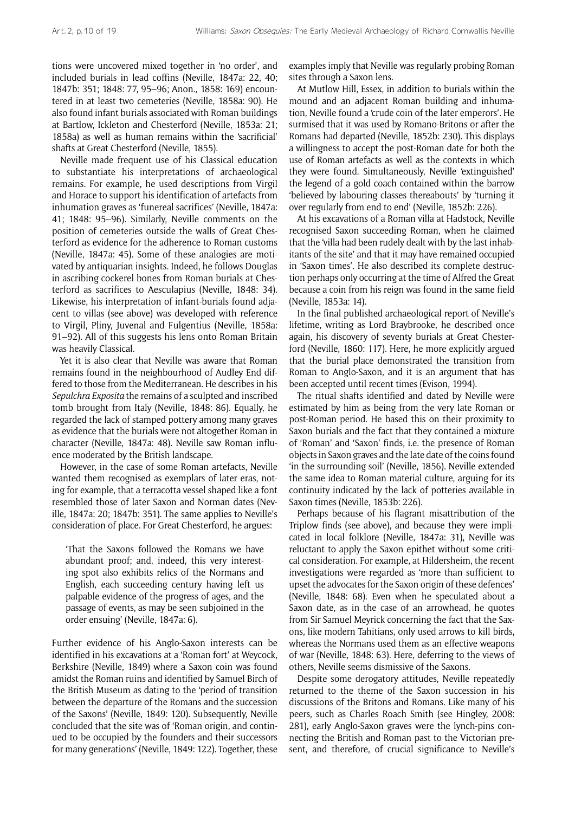tions were uncovered mixed together in 'no order', and included burials in lead coffins (Neville, 1847a: 22, 40; 1847b: 351; 1848: 77, 95–96; Anon., 1858: 169) encountered in at least two cemeteries (Neville, 1858a: 90). He also found infant burials associated with Roman buildings at Bartlow, Ickleton and Chesterford (Neville, 1853a: 21; 1858a) as well as human remains within the 'sacrificial' shafts at Great Chesterford (Neville, 1855).

Neville made frequent use of his Classical education to substantiate his interpretations of archaeological remains. For example, he used descriptions from Virgil and Horace to support his identification of artefacts from inhumation graves as 'funereal sacrifices' (Neville, 1847a: 41; 1848: 95–96). Similarly, Neville comments on the position of cemeteries outside the walls of Great Chesterford as evidence for the adherence to Roman customs (Neville, 1847a: 45). Some of these analogies are motivated by antiquarian insights. Indeed, he follows Douglas in ascribing cockerel bones from Roman burials at Chesterford as sacrifices to Aesculapius (Neville, 1848: 34). Likewise, his interpretation of infant-burials found adjacent to villas (see above) was developed with reference to Virgil, Pliny, Juvenal and Fulgentius (Neville, 1858a: 91–92). All of this suggests his lens onto Roman Britain was heavily Classical.

Yet it is also clear that Neville was aware that Roman remains found in the neighbourhood of Audley End differed to those from the Mediterranean. He describes in his *Sepulchra Exposita* the remains of a sculpted and inscribed tomb brought from Italy (Neville, 1848: 86). Equally, he regarded the lack of stamped pottery among many graves as evidence that the burials were not altogether Roman in character (Neville, 1847a: 48). Neville saw Roman influence moderated by the British landscape.

However, in the case of some Roman artefacts, Neville wanted them recognised as exemplars of later eras, noting for example, that a terracotta vessel shaped like a font resembled those of later Saxon and Norman dates (Neville, 1847a: 20; 1847b: 351). The same applies to Neville's consideration of place. For Great Chesterford, he argues:

'That the Saxons followed the Romans we have abundant proof; and, indeed, this very interesting spot also exhibits relics of the Normans and English, each succeeding century having left us palpable evidence of the progress of ages, and the passage of events, as may be seen subjoined in the order ensuing' (Neville, 1847a: 6).

Further evidence of his Anglo-Saxon interests can be identified in his excavations at a 'Roman fort' at Weycock, Berkshire (Neville, 1849) where a Saxon coin was found amidst the Roman ruins and identified by Samuel Birch of the British Museum as dating to the 'period of transition between the departure of the Romans and the succession of the Saxons' (Neville, 1849: 120). Subsequently, Neville concluded that the site was of 'Roman origin, and continued to be occupied by the founders and their successors for many generations' (Neville, 1849: 122). Together, these examples imply that Neville was regularly probing Roman sites through a Saxon lens.

At Mutlow Hill, Essex, in addition to burials within the mound and an adjacent Roman building and inhumation, Neville found a 'crude coin of the later emperors'. He surmised that it was used by Romano-Britons or after the Romans had departed (Neville, 1852b: 230). This displays a willingness to accept the post-Roman date for both the use of Roman artefacts as well as the contexts in which they were found. Simultaneously, Neville 'extinguished' the legend of a gold coach contained within the barrow 'believed by labouring classes thereabouts' by 'turning it over regularly from end to end' (Neville, 1852b: 226).

At his excavations of a Roman villa at Hadstock, Neville recognised Saxon succeeding Roman, when he claimed that the 'villa had been rudely dealt with by the last inhabitants of the site' and that it may have remained occupied in 'Saxon times'. He also described its complete destruction perhaps only occurring at the time of Alfred the Great because a coin from his reign was found in the same field (Neville, 1853a: 14).

In the final published archaeological report of Neville's lifetime, writing as Lord Braybrooke, he described once again, his discovery of seventy burials at Great Chesterford (Neville, 1860: 117). Here, he more explicitly argued that the burial place demonstrated the transition from Roman to Anglo-Saxon, and it is an argument that has been accepted until recent times (Evison, 1994).

The ritual shafts identified and dated by Neville were estimated by him as being from the very late Roman or post-Roman period. He based this on their proximity to Saxon burials and the fact that they contained a mixture of 'Roman' and 'Saxon' finds, i.e. the presence of Roman objects in Saxon graves and the late date of the coins found 'in the surrounding soil' (Neville, 1856). Neville extended the same idea to Roman material culture, arguing for its continuity indicated by the lack of potteries available in Saxon times (Neville, 1853b: 226).

Perhaps because of his flagrant misattribution of the Triplow finds (see above), and because they were implicated in local folklore (Neville, 1847a: 31), Neville was reluctant to apply the Saxon epithet without some critical consideration. For example, at Hildersheim, the recent investigations were regarded as 'more than sufficient to upset the advocates for the Saxon origin of these defences' (Neville, 1848: 68). Even when he speculated about a Saxon date, as in the case of an arrowhead, he quotes from Sir Samuel Meyrick concerning the fact that the Saxons, like modern Tahitians, only used arrows to kill birds, whereas the Normans used them as an effective weapons of war (Neville, 1848: 63). Here, deferring to the views of others, Neville seems dismissive of the Saxons.

Despite some derogatory attitudes, Neville repeatedly returned to the theme of the Saxon succession in his discussions of the Britons and Romans. Like many of his peers, such as Charles Roach Smith (see Hingley, 2008: 281), early Anglo-Saxon graves were the lynch-pins connecting the British and Roman past to the Victorian present, and therefore, of crucial significance to Neville's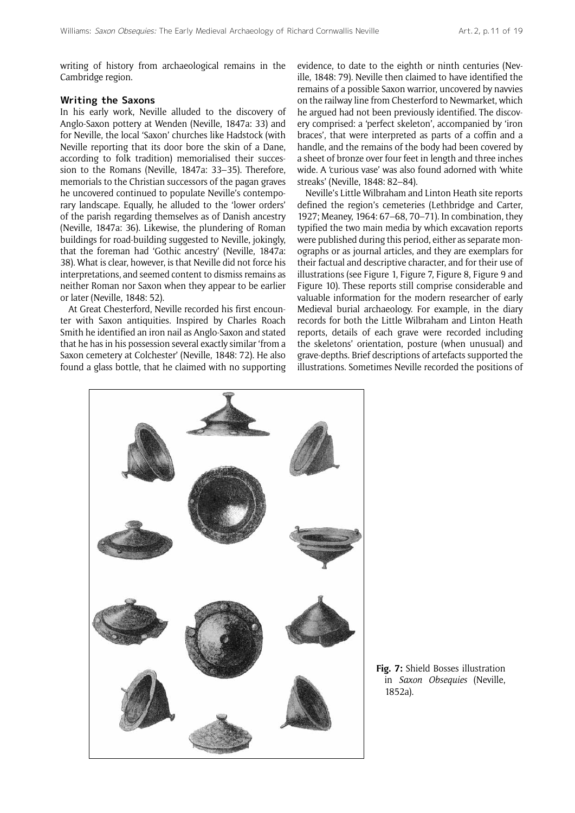writing of history from archaeological remains in the Cambridge region.

## **Writing the Saxons**

In his early work, Neville alluded to the discovery of Anglo-Saxon pottery at Wenden (Neville, 1847a: 33) and for Neville, the local 'Saxon' churches like Hadstock (with Neville reporting that its door bore the skin of a Dane, according to folk tradition) memorialised their succession to the Romans (Neville, 1847a: 33–35). Therefore, memorials to the Christian successors of the pagan graves he uncovered continued to populate Neville's contemporary landscape. Equally, he alluded to the 'lower orders' of the parish regarding themselves as of Danish ancestry (Neville, 1847a: 36). Likewise, the plundering of Roman buildings for road-building suggested to Neville, jokingly, that the foreman had 'Gothic ancestry' (Neville, 1847a: 38). What is clear, however, is that Neville did not force his interpretations, and seemed content to dismiss remains as neither Roman nor Saxon when they appear to be earlier or later (Neville, 1848: 52).

At Great Chesterford, Neville recorded his first encounter with Saxon antiquities. Inspired by Charles Roach Smith he identified an iron nail as Anglo-Saxon and stated that he has in his possession several exactly similar 'from a Saxon cemetery at Colchester' (Neville, 1848: 72). He also found a glass bottle, that he claimed with no supporting evidence, to date to the eighth or ninth centuries (Neville, 1848: 79). Neville then claimed to have identified the remains of a possible Saxon warrior, uncovered by navvies on the railway line from Chesterford to Newmarket, which he argued had not been previously identified. The discovery comprised: a 'perfect skeleton', accompanied by 'iron braces', that were interpreted as parts of a coffin and a handle, and the remains of the body had been covered by a sheet of bronze over four feet in length and three inches wide. A 'curious vase' was also found adorned with 'white streaks' (Neville, 1848: 82–84).

Neville's Little Wilbraham and Linton Heath site reports defined the region's cemeteries (Lethbridge and Carter, 1927; Meaney, 1964: 67–68, 70–71). In combination, they typified the two main media by which excavation reports were published during this period, either as separate monographs or as journal articles, and they are exemplars for their factual and descriptive character, and for their use of illustrations (see Figure 1, Figure 7, Figure 8, Figure 9 and Figure 10). These reports still comprise considerable and valuable information for the modern researcher of early Medieval burial archaeology. For example, in the diary records for both the Little Wilbraham and Linton Heath reports, details of each grave were recorded including the skeletons' orientation, posture (when unusual) and grave-depths. Brief descriptions of artefacts supported the illustrations. Sometimes Neville recorded the positions of



**Fig. 7:** Shield Bosses illustration in *Saxon Obsequies* (Neville, 1852a).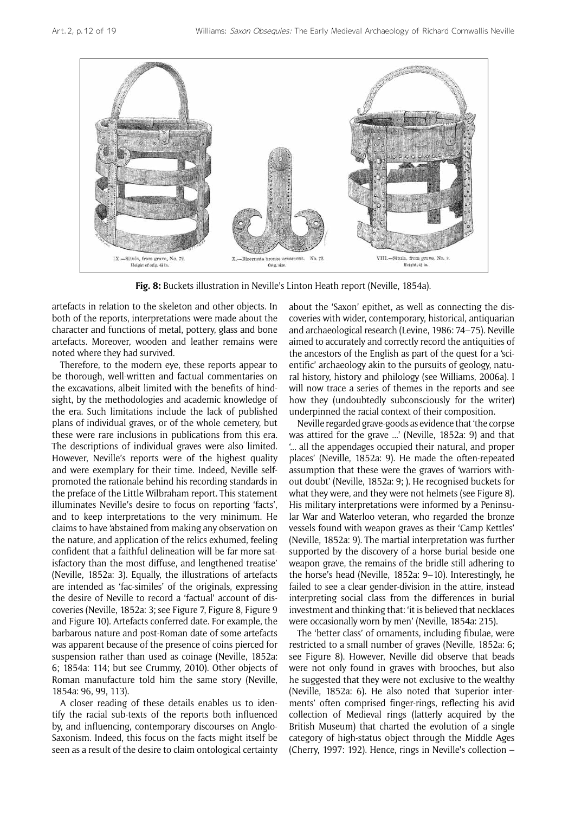

**Fig. 8:** Buckets illustration in Neville's Linton Heath report (Neville, 1854a).

artefacts in relation to the skeleton and other objects. In both of the reports, interpretations were made about the character and functions of metal, pottery, glass and bone artefacts. Moreover, wooden and leather remains were noted where they had survived.

Therefore, to the modern eye, these reports appear to be thorough, well-written and factual commentaries on the excavations, albeit limited with the benefits of hindsight, by the methodologies and academic knowledge of the era. Such limitations include the lack of published plans of individual graves, or of the whole cemetery, but these were rare inclusions in publications from this era. The descriptions of individual graves were also limited. However, Neville's reports were of the highest quality and were exemplary for their time. Indeed, Neville selfpromoted the rationale behind his recording standards in the preface of the Little Wilbraham report. This statement illuminates Neville's desire to focus on reporting 'facts', and to keep interpretations to the very minimum. He claims to have 'abstained from making any observation on the nature, and application of the relics exhumed, feeling confident that a faithful delineation will be far more satisfactory than the most diffuse, and lengthened treatise' (Neville, 1852a: 3). Equally, the illustrations of artefacts are intended as 'fac-similes' of the originals, expressing the desire of Neville to record a 'factual' account of discoveries (Neville, 1852a: 3; see Figure 7, Figure 8, Figure 9 and Figure 10). Artefacts conferred date. For example, the barbarous nature and post-Roman date of some artefacts was apparent because of the presence of coins pierced for suspension rather than used as coinage (Neville, 1852a: 6; 1854a: 114; but see Crummy, 2010). Other objects of Roman manufacture told him the same story (Neville, 1854a: 96, 99, 113).

A closer reading of these details enables us to identify the racial sub-texts of the reports both influenced by, and influencing, contemporary discourses on Anglo-Saxonism. Indeed, this focus on the facts might itself be seen as a result of the desire to claim ontological certainty about the 'Saxon' epithet, as well as connecting the discoveries with wider, contemporary, historical, antiquarian and archaeological research (Levine, 1986: 74–75). Neville aimed to accurately and correctly record the antiquities of the ancestors of the English as part of the quest for a 'scientific' archaeology akin to the pursuits of geology, natural history, history and philology (see Williams, 2006a). I will now trace a series of themes in the reports and see how they (undoubtedly subconsciously for the writer) underpinned the racial context of their composition.

Neville regarded grave-goods as evidence that 'the corpse was attired for the grave ...' (Neville, 1852a: 9) and that '... all the appendages occupied their natural, and proper places' (Neville, 1852a: 9). He made the often-repeated assumption that these were the graves of 'warriors without doubt' (Neville, 1852a: 9; ). He recognised buckets for what they were, and they were not helmets (see Figure 8). His military interpretations were informed by a Peninsular War and Waterloo veteran, who regarded the bronze vessels found with weapon graves as their 'Camp Kettles' (Neville, 1852a: 9). The martial interpretation was further supported by the discovery of a horse burial beside one weapon grave, the remains of the bridle still adhering to the horse's head (Neville, 1852a: 9–10). Interestingly, he failed to see a clear gender-division in the attire, instead interpreting social class from the differences in burial investment and thinking that: 'it is believed that necklaces were occasionally worn by men' (Neville, 1854a: 215).

The 'better class' of ornaments, including fibulae, were restricted to a small number of graves (Neville, 1852a: 6; see Figure 8). However, Neville did observe that beads were not only found in graves with brooches, but also he suggested that they were not exclusive to the wealthy (Neville, 1852a: 6). He also noted that 'superior interments' often comprised finger-rings, reflecting his avid collection of Medieval rings (latterly acquired by the British Museum) that charted the evolution of a single category of high-status object through the Middle Ages (Cherry, 1997: 192). Hence, rings in Neville's collection –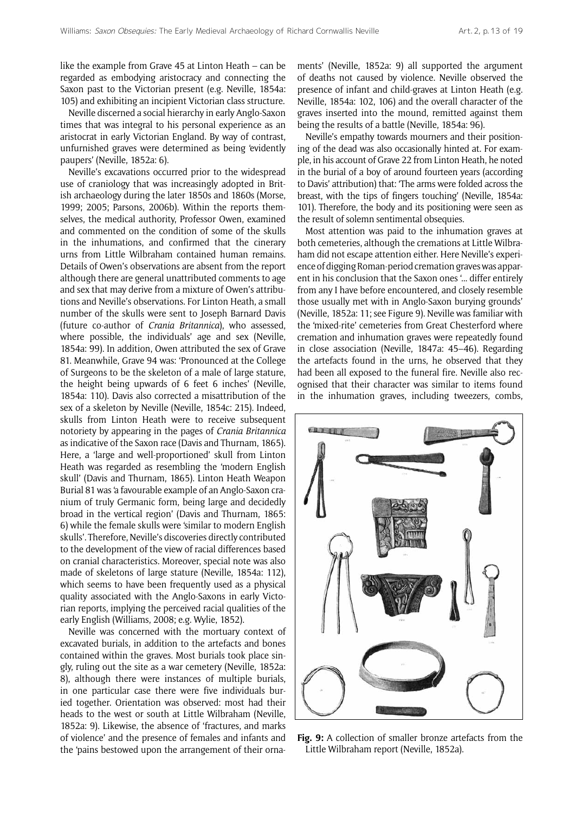like the example from Grave 45 at Linton Heath – can be regarded as embodying aristocracy and connecting the Saxon past to the Victorian present (e.g. Neville, 1854a: 105) and exhibiting an incipient Victorian class structure.

Neville discerned a social hierarchy in early Anglo-Saxon times that was integral to his personal experience as an aristocrat in early Victorian England. By way of contrast, unfurnished graves were determined as being 'evidently paupers' (Neville, 1852a: 6).

Neville's excavations occurred prior to the widespread use of craniology that was increasingly adopted in British archaeology during the later 1850s and 1860s (Morse, 1999; 2005; Parsons, 2006b). Within the reports themselves, the medical authority, Professor Owen, examined and commented on the condition of some of the skulls in the inhumations, and confirmed that the cinerary urns from Little Wilbraham contained human remains. Details of Owen's observations are absent from the report although there are general unattributed comments to age and sex that may derive from a mixture of Owen's attributions and Neville's observations. For Linton Heath, a small number of the skulls were sent to Joseph Barnard Davis (future co-author of *Crania Britannica*), who assessed, where possible, the individuals' age and sex (Neville, 1854a: 99). In addition, Owen attributed the sex of Grave 81. Meanwhile, Grave 94 was: 'Pronounced at the College of Surgeons to be the skeleton of a male of large stature, the height being upwards of 6 feet 6 inches' (Neville, 1854a: 110). Davis also corrected a misattribution of the sex of a skeleton by Neville (Neville, 1854c: 215). Indeed, skulls from Linton Heath were to receive subsequent notoriety by appearing in the pages of *Crania Britannica*  as indicative of the Saxon race (Davis and Thurnam, 1865). Here, a 'large and well-proportioned' skull from Linton Heath was regarded as resembling the 'modern English skull' (Davis and Thurnam, 1865). Linton Heath Weapon Burial 81 was 'a favourable example of an Anglo-Saxon cranium of truly Germanic form, being large and decidedly broad in the vertical region' (Davis and Thurnam, 1865: 6) while the female skulls were 'similar to modern English skulls'. Therefore, Neville's discoveries directly contributed to the development of the view of racial differences based on cranial characteristics. Moreover, special note was also made of skeletons of large stature (Neville, 1854a: 112), which seems to have been frequently used as a physical quality associated with the Anglo-Saxons in early Victorian reports, implying the perceived racial qualities of the early English (Williams, 2008; e.g. Wylie, 1852).

Neville was concerned with the mortuary context of excavated burials, in addition to the artefacts and bones contained within the graves. Most burials took place singly, ruling out the site as a war cemetery (Neville, 1852a: 8), although there were instances of multiple burials, in one particular case there were five individuals buried together. Orientation was observed: most had their heads to the west or south at Little Wilbraham (Neville, 1852a: 9). Likewise, the absence of 'fractures, and marks of violence' and the presence of females and infants and the 'pains bestowed upon the arrangement of their ornaments' (Neville, 1852a: 9) all supported the argument of deaths not caused by violence. Neville observed the presence of infant and child-graves at Linton Heath (e.g. Neville, 1854a: 102, 106) and the overall character of the graves inserted into the mound, remitted against them being the results of a battle (Neville, 1854a: 96).

Neville's empathy towards mourners and their positioning of the dead was also occasionally hinted at. For example, in his account of Grave 22 from Linton Heath, he noted in the burial of a boy of around fourteen years (according to Davis' attribution) that: 'The arms were folded across the breast, with the tips of fingers touching' (Neville, 1854a: 101). Therefore, the body and its positioning were seen as the result of solemn sentimental obsequies.

Most attention was paid to the inhumation graves at both cemeteries, although the cremations at Little Wilbraham did not escape attention either. Here Neville's experience of digging Roman-period cremation graves was apparent in his conclusion that the Saxon ones '... differ entirely from any I have before encountered, and closely resemble those usually met with in Anglo-Saxon burying grounds' (Neville, 1852a: 11; see Figure 9). Neville was familiar with the 'mixed-rite' cemeteries from Great Chesterford where cremation and inhumation graves were repeatedly found in close association (Neville, 1847a: 45–46). Regarding the artefacts found in the urns, he observed that they had been all exposed to the funeral fire. Neville also recognised that their character was similar to items found in the inhumation graves, including tweezers, combs,



**Fig. 9:** A collection of smaller bronze artefacts from the Little Wilbraham report (Neville, 1852a).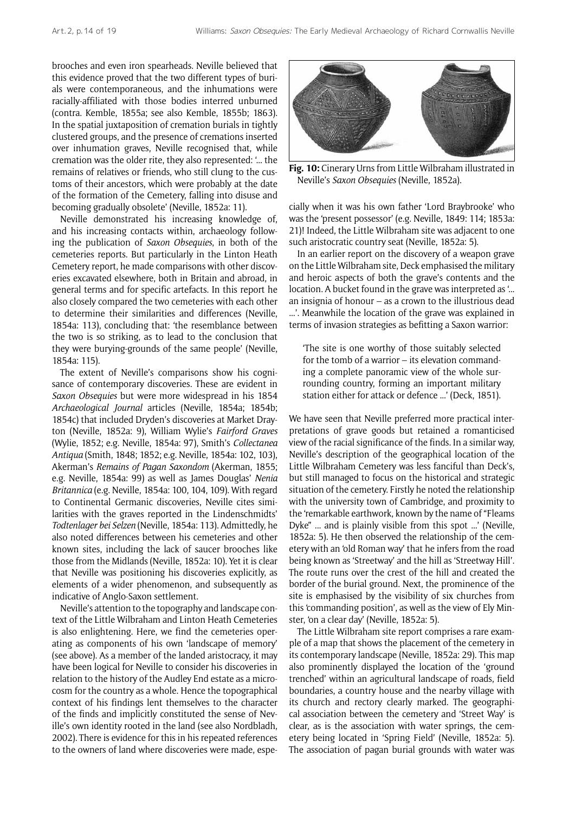brooches and even iron spearheads. Neville believed that this evidence proved that the two different types of burials were contemporaneous, and the inhumations were racially-affiliated with those bodies interred unburned (contra. Kemble, 1855a; see also Kemble, 1855b; 1863). In the spatial juxtaposition of cremation burials in tightly clustered groups, and the presence of cremations inserted over inhumation graves, Neville recognised that, while cremation was the older rite, they also represented: '... the remains of relatives or friends, who still clung to the customs of their ancestors, which were probably at the date of the formation of the Cemetery, falling into disuse and becoming gradually obsolete' (Neville, 1852a: 11).

Neville demonstrated his increasing knowledge of, and his increasing contacts within, archaeology following the publication of *Saxon Obsequies*, in both of the cemeteries reports. But particularly in the Linton Heath Cemetery report, he made comparisons with other discoveries excavated elsewhere, both in Britain and abroad, in general terms and for specific artefacts. In this report he also closely compared the two cemeteries with each other to determine their similarities and differences (Neville, 1854a: 113), concluding that: 'the resemblance between the two is so striking, as to lead to the conclusion that they were burying-grounds of the same people' (Neville, 1854a: 115).

The extent of Neville's comparisons show his cognisance of contemporary discoveries. These are evident in *Saxon Obsequies* but were more widespread in his 1854 *Archaeological Journal* articles (Neville, 1854a; 1854b; 1854c) that included Dryden's discoveries at Market Drayton (Neville, 1852a: 9), William Wylie's *Fairford Graves* (Wylie, 1852; e.g. Neville, 1854a: 97), Smith's *Collectanea Antiqua* (Smith, 1848; 1852; e.g. Neville, 1854a: 102, 103), Akerman's *Remains of Pagan Saxondom* (Akerman, 1855; e.g. Neville, 1854a: 99) as well as James Douglas' *Nenia Britannica* (e.g. Neville, 1854a: 100, 104, 109). With regard to Continental Germanic discoveries, Neville cites similarities with the graves reported in the Lindenschmidts' *Todtenlager bei Selzen* (Neville, 1854a: 113). Admittedly, he also noted differences between his cemeteries and other known sites, including the lack of saucer brooches like those from the Midlands (Neville, 1852a: 10). Yet it is clear that Neville was positioning his discoveries explicitly, as elements of a wider phenomenon, and subsequently as indicative of Anglo-Saxon settlement.

Neville's attention to the topography and landscape context of the Little Wilbraham and Linton Heath Cemeteries is also enlightening. Here, we find the cemeteries operating as components of his own 'landscape of memory' (see above). As a member of the landed aristocracy, it may have been logical for Neville to consider his discoveries in relation to the history of the Audley End estate as a microcosm for the country as a whole. Hence the topographical context of his findings lent themselves to the character of the finds and implicitly constituted the sense of Neville's own identity rooted in the land (see also Nordbladh, 2002). There is evidence for this in his repeated references to the owners of land where discoveries were made, espe-



**Fig. 10:** Cinerary Urns from Little Wilbraham illustrated in Neville's *Saxon Obsequies* (Neville, 1852a).

cially when it was his own father 'Lord Braybrooke' who was the 'present possessor' (e.g. Neville, 1849: 114; 1853a: 21)! Indeed, the Little Wilbraham site was adjacent to one such aristocratic country seat (Neville, 1852a: 5).

In an earlier report on the discovery of a weapon grave on the Little Wilbraham site, Deck emphasised the military and heroic aspects of both the grave's contents and the location. A bucket found in the grave was interpreted as '... an insignia of honour – as a crown to the illustrious dead ...'. Meanwhile the location of the grave was explained in terms of invasion strategies as befitting a Saxon warrior:

'The site is one worthy of those suitably selected for the tomb of a warrior – its elevation commanding a complete panoramic view of the whole surrounding country, forming an important military station either for attack or defence ...' (Deck, 1851).

We have seen that Neville preferred more practical interpretations of grave goods but retained a romanticised view of the racial significance of the finds. In a similar way, Neville's description of the geographical location of the Little Wilbraham Cemetery was less fanciful than Deck's, but still managed to focus on the historical and strategic situation of the cemetery. Firstly he noted the relationship with the university town of Cambridge, and proximity to the 'remarkable earthwork, known by the name of "Fleams Dyke" ... and is plainly visible from this spot ...' (Neville, 1852a: 5). He then observed the relationship of the cemetery with an 'old Roman way' that he infers from the road being known as 'Streetway' and the hill as 'Streetway Hill'. The route runs over the crest of the hill and created the border of the burial ground. Next, the prominence of the site is emphasised by the visibility of six churches from this 'commanding position', as well as the view of Ely Minster, 'on a clear day' (Neville, 1852a: 5).

The Little Wilbraham site report comprises a rare example of a map that shows the placement of the cemetery in its contemporary landscape (Neville, 1852a: 29). This map also prominently displayed the location of the 'ground trenched' within an agricultural landscape of roads, field boundaries, a country house and the nearby village with its church and rectory clearly marked. The geographical association between the cemetery and 'Street Way' is clear, as is the association with water springs, the cemetery being located in 'Spring Field' (Neville, 1852a: 5). The association of pagan burial grounds with water was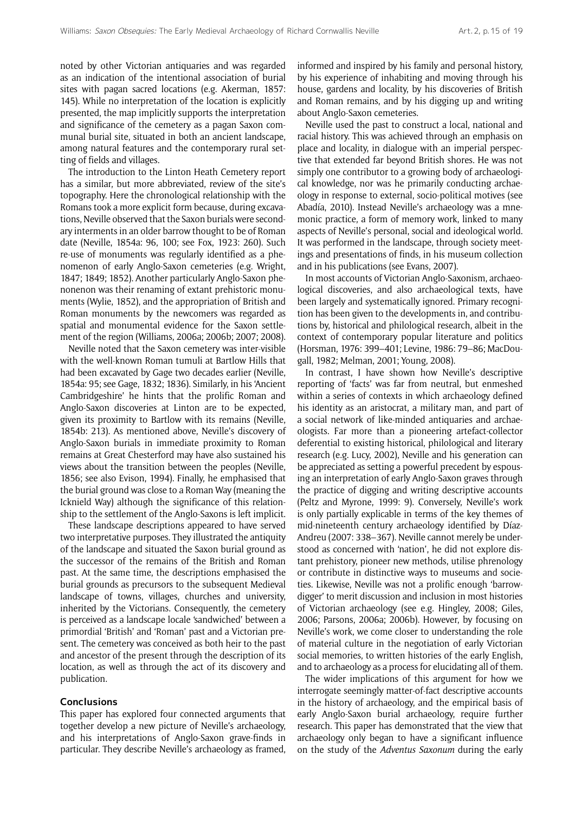noted by other Victorian antiquaries and was regarded as an indication of the intentional association of burial sites with pagan sacred locations (e.g. Akerman, 1857: 145). While no interpretation of the location is explicitly presented, the map implicitly supports the interpretation and significance of the cemetery as a pagan Saxon communal burial site, situated in both an ancient landscape, among natural features and the contemporary rural setting of fields and villages.

The introduction to the Linton Heath Cemetery report has a similar, but more abbreviated, review of the site's topography. Here the chronological relationship with the Romans took a more explicit form because, during excavations, Neville observed that the Saxon burials were secondary interments in an older barrow thought to be of Roman date (Neville, 1854a: 96, 100; see Fox, 1923: 260). Such re-use of monuments was regularly identified as a phenomenon of early Anglo-Saxon cemeteries (e.g. Wright, 1847; 1849; 1852). Another particularly Anglo-Saxon phenonenon was their renaming of extant prehistoric monuments (Wylie, 1852), and the appropriation of British and Roman monuments by the newcomers was regarded as spatial and monumental evidence for the Saxon settlement of the region (Williams, 2006a; 2006b; 2007; 2008).

Neville noted that the Saxon cemetery was inter-visible with the well-known Roman tumuli at Bartlow Hills that had been excavated by Gage two decades earlier (Neville, 1854a: 95; see Gage, 1832; 1836). Similarly, in his 'Ancient Cambridgeshire' he hints that the prolific Roman and Anglo-Saxon discoveries at Linton are to be expected, given its proximity to Bartlow with its remains (Neville, 1854b: 213). As mentioned above, Neville's discovery of Anglo-Saxon burials in immediate proximity to Roman remains at Great Chesterford may have also sustained his views about the transition between the peoples (Neville, 1856; see also Evison, 1994). Finally, he emphasised that the burial ground was close to a Roman Way (meaning the Icknield Way) although the significance of this relationship to the settlement of the Anglo-Saxons is left implicit.

These landscape descriptions appeared to have served two interpretative purposes. They illustrated the antiquity of the landscape and situated the Saxon burial ground as the successor of the remains of the British and Roman past. At the same time, the descriptions emphasised the burial grounds as precursors to the subsequent Medieval landscape of towns, villages, churches and university, inherited by the Victorians. Consequently, the cemetery is perceived as a landscape locale 'sandwiched' between a primordial 'British' and 'Roman' past and a Victorian present. The cemetery was conceived as both heir to the past and ancestor of the present through the description of its location, as well as through the act of its discovery and publication.

## **Conclusions**

This paper has explored four connected arguments that together develop a new picture of Neville's archaeology, and his interpretations of Anglo-Saxon grave-finds in particular. They describe Neville's archaeology as framed, informed and inspired by his family and personal history, by his experience of inhabiting and moving through his house, gardens and locality, by his discoveries of British and Roman remains, and by his digging up and writing about Anglo-Saxon cemeteries.

Neville used the past to construct a local, national and racial history. This was achieved through an emphasis on place and locality, in dialogue with an imperial perspective that extended far beyond British shores. He was not simply one contributor to a growing body of archaeological knowledge, nor was he primarily conducting archaeology in response to external, socio-political motives (see Abadía, 2010). Instead Neville's archaeology was a mnemonic practice, a form of memory work, linked to many aspects of Neville's personal, social and ideological world. It was performed in the landscape, through society meetings and presentations of finds, in his museum collection and in his publications (see Evans, 2007).

In most accounts of Victorian Anglo-Saxonism, archaeological discoveries, and also archaeological texts, have been largely and systematically ignored. Primary recognition has been given to the developments in, and contributions by, historical and philological research, albeit in the context of contemporary popular literature and politics (Horsman, 1976: 399–401; Levine, 1986: 79–86; MacDougall, 1982; Melman, 2001; Young, 2008).

In contrast, I have shown how Neville's descriptive reporting of 'facts' was far from neutral, but enmeshed within a series of contexts in which archaeology defined his identity as an aristocrat, a military man, and part of a social network of like-minded antiquaries and archaeologists. Far more than a pioneering artefact-collector deferential to existing historical, philological and literary research (e.g. Lucy, 2002), Neville and his generation can be appreciated as setting a powerful precedent by espousing an interpretation of early Anglo-Saxon graves through the practice of digging and writing descriptive accounts (Peltz and Myrone, 1999: 9). Conversely, Neville's work is only partially explicable in terms of the key themes of mid-nineteenth century archaeology identified by Díaz-Andreu (2007: 338–367). Neville cannot merely be understood as concerned with 'nation', he did not explore distant prehistory, pioneer new methods, utilise phrenology or contribute in distinctive ways to museums and societies. Likewise, Neville was not a prolific enough 'barrowdigger' to merit discussion and inclusion in most histories of Victorian archaeology (see e.g. Hingley, 2008; Giles, 2006; Parsons, 2006a; 2006b). However, by focusing on Neville's work, we come closer to understanding the role of material culture in the negotiation of early Victorian social memories, to written histories of the early English, and to archaeology as a process for elucidating all of them.

The wider implications of this argument for how we interrogate seemingly matter-of-fact descriptive accounts in the history of archaeology, and the empirical basis of early Anglo-Saxon burial archaeology, require further research. This paper has demonstrated that the view that archaeology only began to have a significant influence on the study of the *Adventus Saxonum* during the early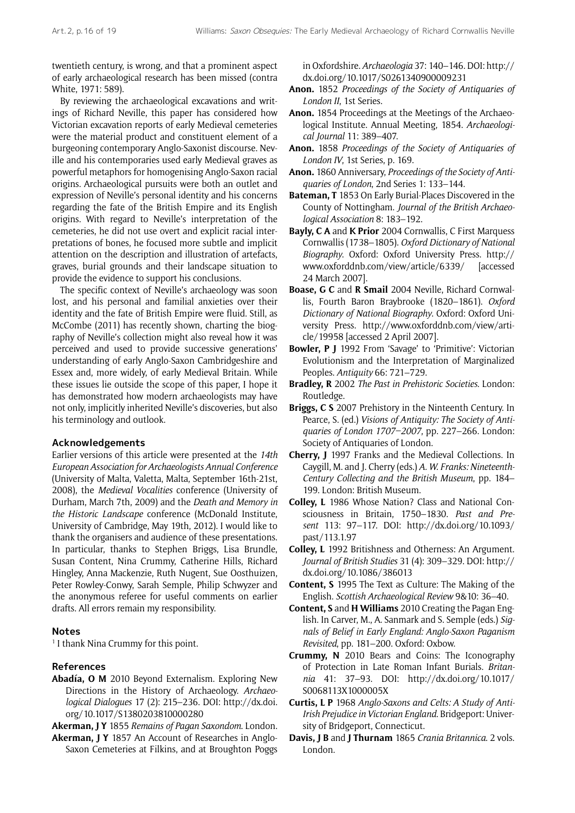twentieth century, is wrong, and that a prominent aspect of early archaeological research has been missed (contra White, 1971: 589).

By reviewing the archaeological excavations and writings of Richard Neville, this paper has considered how Victorian excavation reports of early Medieval cemeteries were the material product and constituent element of a burgeoning contemporary Anglo-Saxonist discourse. Neville and his contemporaries used early Medieval graves as powerful metaphors for homogenising Anglo-Saxon racial origins. Archaeological pursuits were both an outlet and expression of Neville's personal identity and his concerns regarding the fate of the British Empire and its English origins. With regard to Neville's interpretation of the cemeteries, he did not use overt and explicit racial interpretations of bones, he focused more subtle and implicit attention on the description and illustration of artefacts, graves, burial grounds and their landscape situation to provide the evidence to support his conclusions.

The specific context of Neville's archaeology was soon lost, and his personal and familial anxieties over their identity and the fate of British Empire were fluid. Still, as McCombe (2011) has recently shown, charting the biography of Neville's collection might also reveal how it was perceived and used to provide successive generations' understanding of early Anglo-Saxon Cambridgeshire and Essex and, more widely, of early Medieval Britain. While these issues lie outside the scope of this paper, I hope it has demonstrated how modern archaeologists may have not only, implicitly inherited Neville's discoveries, but also his terminology and outlook.

#### **Acknowledgements**

Earlier versions of this article were presented at the *14th European Association for Archaeologists Annual Conference* (University of Malta, Valetta, Malta, September 16th-21st, 2008), the *Medieval Vocalities* conference (University of Durham, March 7th, 2009) and the *Death and Memory in the Historic Landscape* conference (McDonald Institute, University of Cambridge, May 19th, 2012). I would like to thank the organisers and audience of these presentations. In particular, thanks to Stephen Briggs, Lisa Brundle, Susan Content, Nina Crummy, Catherine Hills, Richard Hingley, Anna Mackenzie, Ruth Nugent, Sue Oosthuizen, Peter Rowley-Conwy, Sarah Semple, Philip Schwyzer and the anonymous referee for useful comments on earlier drafts. All errors remain my responsibility.

#### **Notes**

<sup>1</sup> I thank Nina Crummy for this point.

#### **References**

**Abadía, O M** 2010 Beyond Externalism. Exploring New Directions in the History of Archaeology. *Archaeological Dialogues* 17 (2): 215–236. DOI: [http://dx.doi.](http://dx.doi.org/10.1017/S1380203810000280) [org/10.1017/S1380203810000280](http://dx.doi.org/10.1017/S1380203810000280)

**Akerman, J Y** 1855 *Remains of Pagan Saxondom*. London.

**Akerman, J Y** 1857 An Account of Researches in Anglo-Saxon Cemeteries at Filkins, and at Broughton Poggs in Oxfordshire. *Archaeologia* 37: 140–146. DOI: [http://](http://dx.doi.org/10.1017/S0261340900009231) [dx.doi.org/10.1017/S0261340900009231](http://dx.doi.org/10.1017/S0261340900009231)

- **Anon.** 1852 *Proceedings of the Society of Antiquaries of London II*, 1st Series.
- **Anon.** 1854 Proceedings at the Meetings of the Archaeological Institute. Annual Meeting, 1854. *Archaeological Journal* 11: 389–407.
- **Anon.** 1858 *Proceedings of the Society of Antiquaries of London IV*, 1st Series, p. 169.
- **Anon.** 1860 Anniversary, *Proceedings of the Society of Antiquaries of London*, 2nd Series 1: 133–144.
- **Bateman, T** 1853 On Early Burial-Places Discovered in the County of Nottingham. *Journal of the British Archaeological Association* 8: 183–192.
- **Bayly, C A** and **K Prior** 2004 Cornwallis, C First Marquess Cornwallis (1738–1805). *Oxford Dictionary of National Biography*. Oxford: Oxford University Press. [http://](http://www.oxforddnb.com/view/article/6339) [www.oxforddnb.com/view/article/6339/](http://www.oxforddnb.com/view/article/6339) [accessed 24 March 2007].
- **Boase, G C** and **R Smail** 2004 Neville, Richard Cornwallis, Fourth Baron Braybrooke (1820–1861). *Oxford Dictionary of National Biography*. Oxford: Oxford University Press. [http://www.oxforddnb.com/view/arti](http://www.oxforddnb.com/view/article/19958)[cle/19958](http://www.oxforddnb.com/view/article/19958) [accessed 2 April 2007].
- **Bowler, P J** 1992 From 'Savage' to 'Primitive': Victorian Evolutionism and the Interpretation of Marginalized Peoples. *Antiquity* 66: 721–729.
- **Bradley, R** 2002 *The Past in Prehistoric Societies*. London: Routledge.
- **Briggs, C S** 2007 Prehistory in the Ninteenth Century. In Pearce, S. (ed.) *Visions of Antiquity: The Society of Antiquaries of London 1707–2007*, pp. 227–266. London: Society of Antiquaries of London.
- **Cherry, J** 1997 Franks and the Medieval Collections. In Caygill, M. and J. Cherry (eds.) *A. W. Franks: Nineteenth-Century Collecting and the British Museum*, pp. 184– 199. London: British Museum.
- **Colley, L** 1986 Whose Nation? Class and National Consciousness in Britain, 1750–1830. *Past and Present* 113: 97–117. DOI: [http://dx.doi.org/10.1093/](http://dx.doi.org/10.1093/past/113.1.97) [past/113.1.97](http://dx.doi.org/10.1093/past/113.1.97)
- **Colley, L** 1992 Britishness and Otherness: An Argument. *Journal of British Studies* 31 (4): 309–329. DOI: [http://](http://dx.doi.org/10.1086/386013) [dx.doi.org/10.1086/386013](http://dx.doi.org/10.1086/386013)
- **Content, S** 1995 The Text as Culture: The Making of the English. *Scottish Archaeological Review* 9&10: 36–40.
- **Content, S** and **H Williams** 2010 Creating the Pagan English. In Carver, M., A. Sanmark and S. Semple (eds.) *Signals of Belief in Early England: Anglo-Saxon Paganism Revisited*, pp. 181–200. Oxford: Oxbow.
- **Crummy, N** 2010 Bears and Coins: The Iconography of Protection in Late Roman Infant Burials. *Britannia* 41: 37–93. DOI: [http://dx.doi.org/10.1017/](http://dx.doi.org/10.1017/S0068113X1000005X) [S0068113X1000005X](http://dx.doi.org/10.1017/S0068113X1000005X)
- **Curtis, L P** 1968 *Anglo-Saxons and Celts: A Study of Anti-Irish Prejudice in Victorian England*. Bridgeport: University of Bridgeport, Connecticut.
- **Davis, J B** and **J Thurnam** 1865 *Crania Britannica*. 2 vols. London.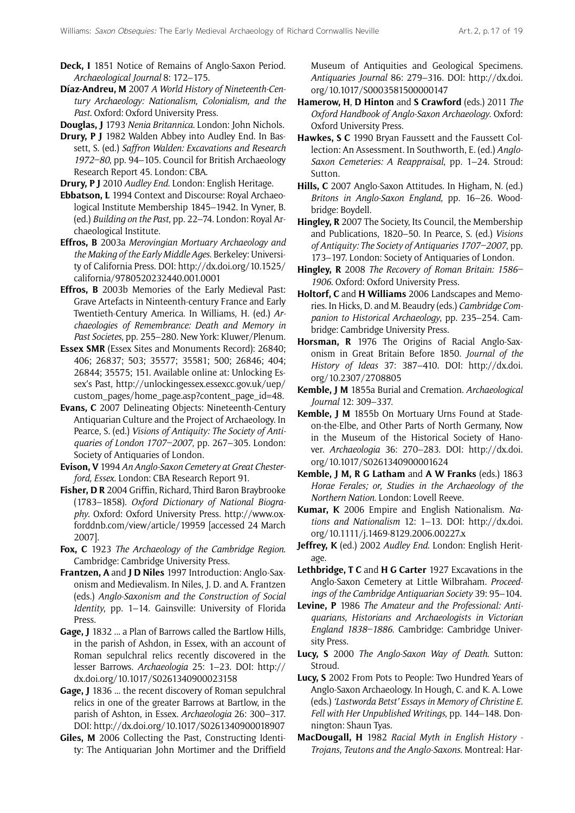- **Deck, I** 1851 Notice of Remains of Anglo-Saxon Period. *Archaeological Journal* 8: 172–175.
- **Díaz-Andreu, M** 2007 *A World History of Nineteenth-Century Archaeology: Nationalism, Colonialism, and the Past*. Oxford: Oxford University Press.
- **Douglas, J** 1793 *Nenia Britannica*. London: John Nichols.
- **Drury, P J** 1982 Walden Abbey into Audley End. In Bassett, S. (ed.) *Saffron Walden: Excavations and Research 1972–80*, pp. 94–105. Council for British Archaeology Research Report 45. London: CBA.
- **Drury, P J** 2010 *Audley End*. London: English Heritage.
- **Ebbatson, L** 1994 Context and Discourse: Royal Archaeological Institute Membership 1845–1942. In Vyner, B. (ed.) *Building on the Past*, pp. 22–74. London: Royal Archaeological Institute.
- **Effros, B** 2003a *Merovingian Mortuary Archaeology and the Making of the Early Middle Ages*. Berkeley: University of California Press. DOI: [http://dx.doi.org/10.1525/](http://dx.doi.org/10.1525/california/9780520232440.001.0001) [california/9780520232440.001.0001](http://dx.doi.org/10.1525/california/9780520232440.001.0001)
- **Effros, B** 2003b Memories of the Early Medieval Past: Grave Artefacts in Ninteenth-century France and Early Twentieth-Century America. In Williams, H. (ed.) *Archaeologies of Remembrance: Death and Memory in Past Societes*, pp. 255–280. New York: Kluwer/Plenum.
- **Essex SMR** (Essex Sites and Monuments Record): 26840; 406; 26837; 503; 35577; 35581; 500; 26846; 404; 26844; 35575; 151. Available online at: Unlocking Essex's Past, [http://unlockingessex.essexcc.gov.uk/uep/](http://unlockingessex.essexcc.gov.uk/uep/custom_pages/home_page.asp?content_page_id=48.) [custom\\_pages/home\\_page.asp?content\\_page\\_id=48.](http://unlockingessex.essexcc.gov.uk/uep/custom_pages/home_page.asp?content_page_id=48.)
- **Evans, C** 2007 Delineating Objects: Nineteenth-Century Antiquarian Culture and the Project of Archaeology. In Pearce, S. (ed.) *Visions of Antiquity: The Society of Antiquaries of London 1707–2007*, pp. 267–305. London: Society of Antiquaries of London.
- **Evison, V** 1994 *An Anglo-Saxon Cemetery at Great Chesterford, Essex*. London: CBA Research Report 91.
- **Fisher, D R** 2004 Griffin, Richard, Third Baron Braybrooke (1783–1858). *Oxford Dictionary of National Biography*. Oxford: Oxford University Press. [http://www.ox](http://www.oxforddnb.com/view/article/19959)[forddnb.com/view/article/19959](http://www.oxforddnb.com/view/article/19959) [accessed 24 March 2007].
- **Fox, C** 1923 *The Archaeology of the Cambridge Region*. Cambridge: Cambridge University Press.
- **Frantzen, A** and **J D Niles** 1997 Introduction: Anglo-Saxonism and Medievalism. In Niles, J. D. and A. Frantzen (eds.) *Anglo-Saxonism and the Construction of Social Identity*, pp. 1–14. Gainsville: University of Florida Press.
- **Gage, J** 1832 ... a Plan of Barrows called the Bartlow Hills, in the parish of Ashdon, in Essex, with an account of Roman sepulchral relics recently discovered in the lesser Barrows. *Archaeologia* 25: 1–23. DOI: [http://](http://dx.doi.org/10.1017/S0261340900023158) [dx.doi.org/10.1017/S0261340900023158](http://dx.doi.org/10.1017/S0261340900023158)
- **Gage, J** 1836 ... the recent discovery of Roman sepulchral relics in one of the greater Barrows at Bartlow, in the parish of Ashton, in Essex. *Archaeologia* 26: 300–317. DOI:<http://dx.doi.org/10.1017/S0261340900018907>
- **Giles, M** 2006 Collecting the Past, Constructing Identity: The Antiquarian John Mortimer and the Driffield

Museum of Antiquities and Geological Specimens. *Antiquaries Journal* 86: 279–316. DOI: [http://dx.doi.](http://dx.doi.org/10.1017/S0003581500000147) [org/10.1017/S0003581500000147](http://dx.doi.org/10.1017/S0003581500000147)

- **Hamerow, H**, **D Hinton** and **S Crawford** (eds.) 2011 *The Oxford Handbook of Anglo-Saxon Archaeology*. Oxford: Oxford University Press.
- **Hawkes, S C** 1990 Bryan Faussett and the Faussett Collection: An Assessment. In Southworth, E. (ed.) *Anglo-Saxon Cemeteries: A Reappraisal*, pp. 1–24. Stroud: Sutton.
- **Hills, C** 2007 Anglo-Saxon Attitudes. In Higham, N. (ed.) *Britons in Anglo-Saxon England*, pp. 16–26. Woodbridge: Boydell.
- **Hingley, R** 2007 The Society, Its Council, the Membership and Publications, 1820–50. In Pearce, S. (ed.) *Visions of Antiquity: The Society of Antiquaries 1707–2007*, pp. 173–197. London: Society of Antiquaries of London.
- **Hingley, R** 2008 *The Recovery of Roman Britain: 1586– 1906*. Oxford: Oxford University Press.
- **Holtorf, C** and **H Williams** 2006 Landscapes and Memories. In Hicks, D. and M. Beaudry (eds.) *Cambridge Companion to Historical Archaeology*, pp. 235–254. Cambridge: Cambridge University Press.
- **Horsman, R** 1976 The Origins of Racial Anglo-Saxonism in Great Britain Before 1850. *Journal of the History of Ideas* 37: 387–410. DOI: [http://dx.doi.](http://dx.doi.org/10.2307/2708805) [org/10.2307/2708805](http://dx.doi.org/10.2307/2708805)
- **Kemble, J M** 1855a Burial and Cremation. *Archaeological Journal* 12: 309–337.
- **Kemble, J M** 1855b On Mortuary Urns Found at Stadeon-the-Elbe, and Other Parts of North Germany, Now in the Museum of the Historical Society of Hanover. *Archaeologia* 36: 270–283. DOI: [http://dx.doi.](http://dx.doi.org/10.1017/S0261340900001624) [org/10.1017/S0261340900001624](http://dx.doi.org/10.1017/S0261340900001624)
- **Kemble, J M, R G Latham** and **A W Franks** (eds.) 1863 *Horae Ferales; or, Studies in the Archaeology of the Northern Nation*. London: Lovell Reeve.
- **Kumar, K** 2006 Empire and English Nationalism. *Nations and Nationalism* 12: 1–13. DOI: [http://dx.doi.](http://dx.doi.org/10.1111/j.1469-8129.2006.00227) [org/10.1111/j.1469-8129.2006.00227](http://dx.doi.org/10.1111/j.1469-8129.2006.00227).x
- **Jeffrey, K** (ed.) 2002 *Audley End*. London: English Heritage.
- **Lethbridge, T C** and **H G Carter** 1927 Excavations in the Anglo-Saxon Cemetery at Little Wilbraham. *Proceedings of the Cambridge Antiquarian Society* 39: 95–104.
- **Levine, P** 1986 *The Amateur and the Professional: Antiquarians, Historians and Archaeologists in Victorian England 1838–1886*. Cambridge: Cambridge University Press.
- **Lucy, S** 2000 *The Anglo-Saxon Way of Death*. Sutton: Stroud.
- **Lucy, S** 2002 From Pots to People: Two Hundred Years of Anglo-Saxon Archaeology. In Hough, C. and K. A. Lowe (eds.) *'Lastworda Betst' Essays in Memory of Christine E. Fell with Her Unpublished Writings*, pp. 144–148. Donnington: Shaun Tyas.
- **MacDougall, H** 1982 *Racial Myth in English History Trojans, Teutons and the Anglo-Saxons*. Montreal: Har-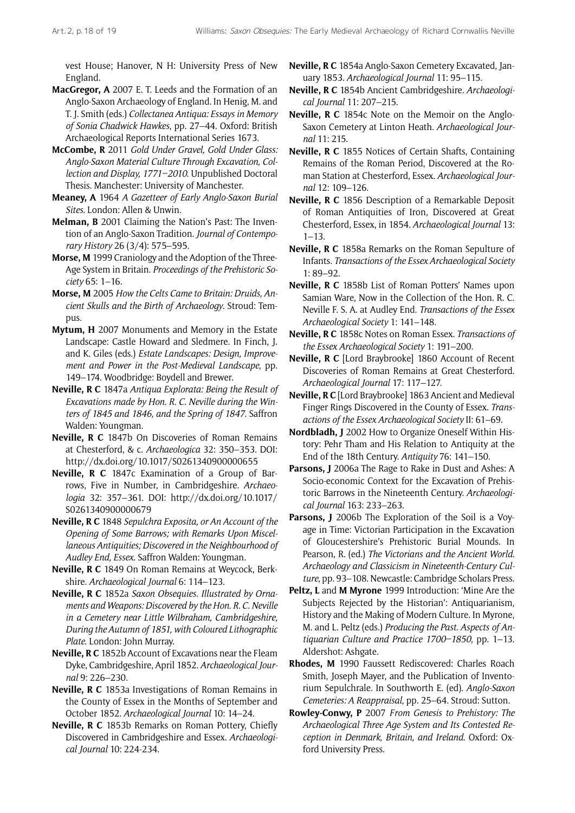vest House; Hanover, N H: University Press of New England.

- **MacGregor, A** 2007 E. T. Leeds and the Formation of an Anglo-Saxon Archaeology of England. In Henig, M. and T. J. Smith (eds.) *Collectanea Antiqua: Essays in Memory of Sonia Chadwick Hawkes*, pp. 27–44. Oxford: British Archaeological Reports International Series 1673.
- **McCombe, R** 2011 *Gold Under Gravel, Gold Under Glass: Anglo-Saxon Material Culture Through Excavation, Collection and Display, 1771–2010*. Unpublished Doctoral Thesis. Manchester: University of Manchester.
- **Meaney, A** 1964 *A Gazetteer of Early Anglo-Saxon Burial Sites*. London: Allen & Unwin.
- **Melman, B** 2001 Claiming the Nation's Past: The Invention of an Anglo-Saxon Tradition. *Journal of Contemporary History* 26 (3/4): 575–595.
- **Morse, M** 1999 Craniology and the Adoption of the Three-Age System in Britain. *Proceedings of the Prehistoric Society* 65: 1–16.
- **Morse, M** 2005 *How the Celts Came to Britain: Druids, Ancient Skulls and the Birth of Archaeology*. Stroud: Tempus.
- **Mytum, H** 2007 Monuments and Memory in the Estate Landscape: Castle Howard and Sledmere. In Finch, J. and K. Giles (eds.) *Estate Landscapes: Design, Improvement and Power in the Post-Medieval Landscape*, pp. 149–174. Woodbridge: Boydell and Brewer.
- **Neville, R C** 1847a *Antiqua Explorata: Being the Result of Excavations made by Hon. R. C. Neville during the Winters of 1845 and 1846, and the Spring of 1847*. Saffron Walden: Youngman.
- **Neville, R C** 1847b On Discoveries of Roman Remains at Chesterford, & c. *Archaeologica* 32: 350–353. DOI: <http://dx.doi.org/10.1017/S0261340900000655>
- **Neville, R C** 1847c Examination of a Group of Barrows, Five in Number, in Cambridgeshire. *Archaeologia* 32: 357–361. DOI: [http://dx.doi.org/10.1017/](http://dx.doi.org/10.1017/S0261340900000679) [S0261340900000679](http://dx.doi.org/10.1017/S0261340900000679)
- **Neville, R C** 1848 *Sepulchra Exposita, or An Account of the Opening of Some Barrows; with Remarks Upon Miscellaneous Antiquities; Discovered in the Neighbourhood of Audley End, Essex*. Saffron Walden: Youngman.
- **Neville, R C** 1849 On Roman Remains at Weycock, Berkshire. *Archaeological Journal* 6: 114–123.
- **Neville, R C** 1852a *Saxon Obsequies. Illustrated by Ornaments and Weapons: Discovered by the Hon. R. C. Neville in a Cemetery near Little Wilbraham, Cambridgeshire, During the Autumn of 1851, with Coloured Lithographic Plate*. London: John Murray.
- **Neville, R C** 1852b Account of Excavations near the Fleam Dyke, Cambridgeshire, April 1852. *Archaeological Journal* 9: 226–230.
- **Neville, R C** 1853a Investigations of Roman Remains in the County of Essex in the Months of September and October 1852. *Archaeological Journal* 10: 14–24.
- **Neville, R C** 1853b Remarks on Roman Pottery, Chiefly Discovered in Cambridgeshire and Essex. *Archaeological Journal* 10: 224-234.
- **Neville, R C** 1854a Anglo-Saxon Cemetery Excavated, January 1853. *Archaeological Journal* 11: 95–115.
- **Neville, R C** 1854b Ancient Cambridgeshire. *Archaeological Journal* 11: 207–215.
- **Neville, R C** 1854c Note on the Memoir on the Anglo-Saxon Cemetery at Linton Heath. *Archaeological Journal* 11: 215.
- **Neville, R C** 1855 Notices of Certain Shafts, Containing Remains of the Roman Period, Discovered at the Roman Station at Chesterford, Essex. *Archaeological Journal* 12: 109–126.
- **Neville, R C** 1856 Description of a Remarkable Deposit of Roman Antiquities of Iron, Discovered at Great Chesterford, Essex, in 1854. *Archaeological Journal* 13: 1–13.
- **Neville, R C** 1858a Remarks on the Roman Sepulture of Infants. *Transactions of the Essex Archaeological Society*  1: 89–92.
- **Neville, R C** 1858b List of Roman Potters' Names upon Samian Ware, Now in the Collection of the Hon. R. C. Neville F. S. A. at Audley End. *Transactions of the Essex Archaeological Society* 1: 141–148.
- **Neville, R C** 1858c Notes on Roman Essex. *Transactions of the Essex Archaeological Society* 1: 191–200.
- **Neville, R C** [Lord Braybrooke] 1860 Account of Recent Discoveries of Roman Remains at Great Chesterford. *Archaeological Journal* 17: 117–127.
- **Neville, R C** [Lord Braybrooke] 1863 Ancient and Medieval Finger Rings Discovered in the County of Essex. *Transactions of the Essex Archaeological Society* II: 61–69.
- **Nordbladh, J** 2002 How to Organize Oneself Within History: Pehr Tham and His Relation to Antiquity at the End of the 18th Century. *Antiquity* 76: 141–150.
- **Parsons, J** 2006a The Rage to Rake in Dust and Ashes: A Socio-economic Context for the Excavation of Prehistoric Barrows in the Nineteenth Century. *Archaeological Journal* 163: 233–263.
- **Parsons, J** 2006b The Exploration of the Soil is a Voyage in Time: Victorian Participation in the Excavation of Gloucestershire's Prehistoric Burial Mounds. In Pearson, R. (ed.) *The Victorians and the Ancient World. Archaeology and Classicism in Nineteenth-Century Culture*, pp. 93–108. Newcastle: Cambridge Scholars Press.
- **Peltz, L** and **M Myrone** 1999 Introduction: 'Mine Are the Subjects Rejected by the Historian': Antiquarianism, History and the Making of Modern Culture. In Myrone, M. and L. Peltz (eds.) *Producing the Past. Aspects of Antiquarian Culture and Practice 1700–1850*, pp. 1–13. Aldershot: Ashgate.
- **Rhodes, M** 1990 Faussett Rediscovered: Charles Roach Smith, Joseph Mayer, and the Publication of Inventorium Sepulchrale. In Southworth E. (ed). *Anglo-Saxon Cemeteries: A Reappraisal*, pp. 25–64. Stroud: Sutton.
- **Rowley-Conwy, P** 2007 *From Genesis to Prehistory: The Archaeological Three Age System and Its Contested Reception in Denmark, Britain, and Ireland*. Oxford: Oxford University Press.